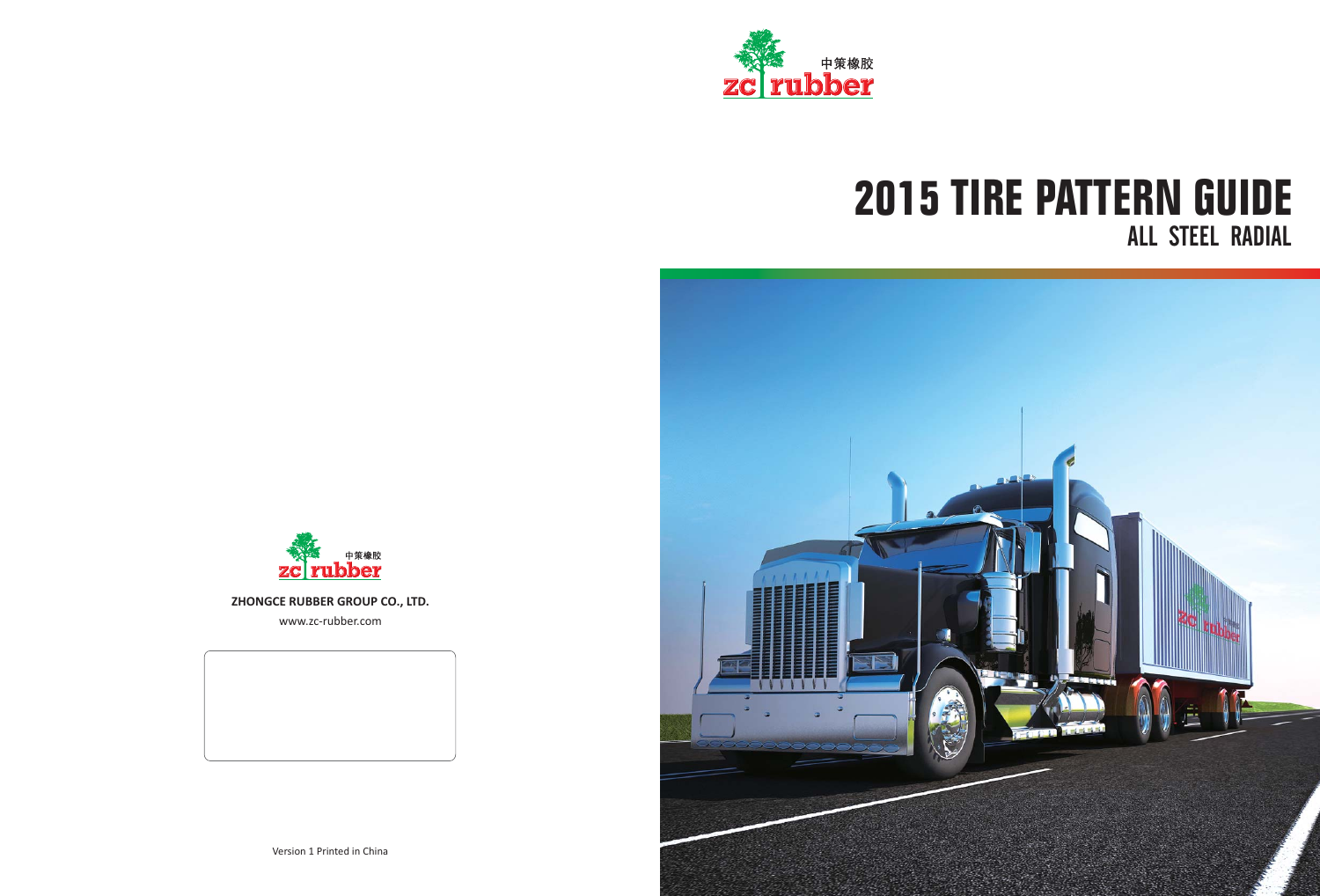**ZHONGCE RUBBER GROUP CO., LTD.**

www.zc-rubber.com



## **2015 TIRE PATTERN GUIDE** ALL STEEL RADIAL



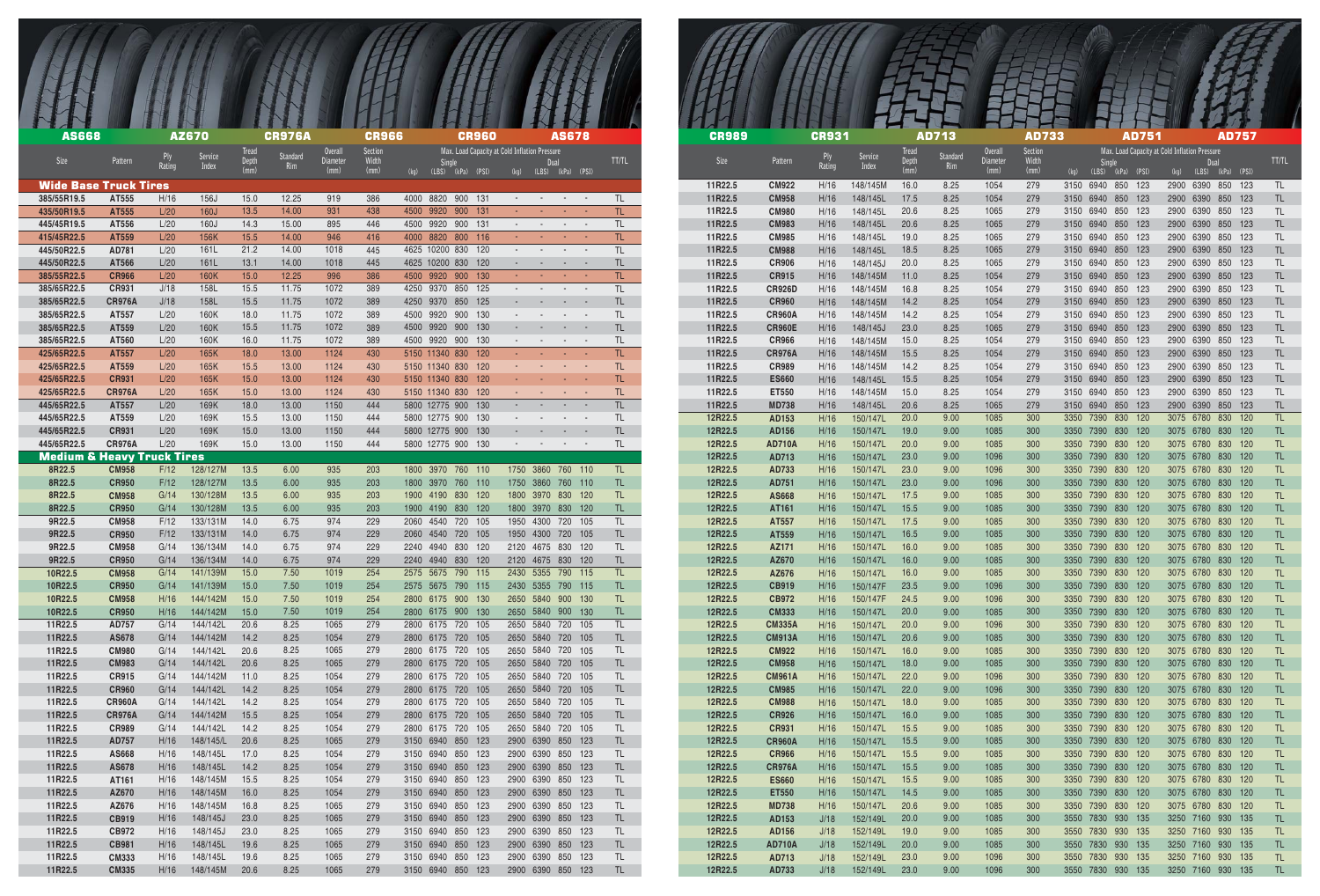| <b>AS668</b>                                    |                               |              | <b>AZ670</b>            |                               | <b>CR976A</b>   |                                    | <b>CR966</b>             | <b>CR960</b>                                                                         |                                                                | <b>AS678</b>                                         |            |                    | <b>CR989</b>                  | <b>CR931</b> |                                |                               | <b>AD713</b>    |                                    | <b>AD733</b>             | <b>AD751</b>                                                             |
|-------------------------------------------------|-------------------------------|--------------|-------------------------|-------------------------------|-----------------|------------------------------------|--------------------------|--------------------------------------------------------------------------------------|----------------------------------------------------------------|------------------------------------------------------|------------|--------------------|-------------------------------|--------------|--------------------------------|-------------------------------|-----------------|------------------------------------|--------------------------|--------------------------------------------------------------------------|
| Size                                            | Pattern                       | Rating       | <b>Service</b><br>Index | <b>Tread</b><br>Depth<br>(mm) | Standard<br>Rim | <b>Overall</b><br>Diameter<br>(mm) | Section<br>Width<br>(mm) | Max. Load Capacity at Cold Inflation Pressure<br>Single<br>(kg)<br>(LBS) (kPa) (PSI) | Dual                                                           | (LBS) (kPa) (PSI)                                    | TT/TL      | Size               | Pattern                       | Rating       | Service<br>Index               | <b>Tread</b><br>Depth<br>(mm) | Standard<br>Rim | <b>Overall</b><br>Diameter<br>(mm) | Section<br>Width<br>(mm) | Max. Load Capacity at Cold Inflation Pressure<br>(LBS)<br>(kPa)<br>(PSI) |
| <b>Wide Base Truck Tires</b>                    |                               |              |                         |                               |                 |                                    |                          |                                                                                      |                                                                |                                                      |            | 11R22.5            | <b>CM922</b>                  | H/16         | 148/145M                       | 16.0                          | 8.25            | 1054                               | 279                      | 3150 6940 850 123                                                        |
| 385/55R19.5                                     | AT555                         | H/16         | 156J                    | 15.0                          | 12.25           | 919                                | 386                      | 4000 8820 900 131                                                                    | and the state of the state of                                  |                                                      | TL.        | 11R22.5            | <b>CM958</b>                  | H/16         | 148/145L                       | 17.5                          | 8.25            | 1054<br>1065                       | 279                      | 3150 6940 850 123                                                        |
| 435/50R19.5<br>445/45R19.5                      | AT555<br>AT556                | L/20<br>L/20 | 160J<br>160J            | 13.5<br>14.3                  | 14.00<br>15.00  | 931<br>895                         | 438<br>446               | 4500 9920 900 131<br>4500 9920 900 131                                               | <b>All Contracts</b><br><b>All Contracts</b>                   | <b>Contract Contract</b><br><b>Contract Contract</b> | TL.<br>TL. | 11R22.5<br>11R22.5 | <b>CM980</b><br><b>CM983</b>  | H/16<br>H/16 | 148/145L<br>148/145L           | 20.6<br>20.6                  | 8.25<br>8.25    | 1065                               | 279<br>279               | 3150 6940 850 123<br>3150 6940 850 123                                   |
| 415/45R22.5                                     | AT559                         | L/20         | 156K                    | 15.5                          | 14.00           | 946                                | 416                      | 4000 8820 800 116                                                                    | <b>All Contracts</b>                                           | <b>Contract Contract</b>                             | TL.        | 11R22.5            | <b>CM985</b>                  | H/16         | 148/145L                       | 19.0                          | 8.25            | 1065                               | 279                      | 3150 6940 850 123                                                        |
| 445/50R22.5                                     | AD781                         | L/20         | 161L                    | 21.2                          | 14.00           | 1018                               | 445                      | 4625 10200 830 120                                                                   | $\sim$ 100 $\mu$                                               | <b>Service</b>                                       | TL.        | 11R22.5            | <b>CM988</b>                  | H/16         | 148/145L                       | 18.5                          | 8.25            | 1065                               | 279                      | 3150 6940 850 123                                                        |
| 445/50R22.5                                     | AT566<br><b>CR966</b>         | L/20<br>L/20 | 161L<br>160K            | 13.1                          | 14.00           | 1018                               | 445                      | 4625 10200 830 120<br>4500 9920 900 130                                              | <b>Contract Contract</b><br><b>All Contracts</b>               | $\sim$                                               | TL.        | 11R22.5            | <b>CR906</b>                  | H/16         | 148/145J                       | 20.0                          | 8.25<br>8.25    | 1065<br>1054                       | 279<br>279               | 3150 6940 850 123<br>3150 6940 850 123                                   |
| 385/55R22.5<br>385/65R22.5                      | <b>CR931</b>                  | J/18         | 158L                    | 15.0<br>15.5                  | 12.25<br>11.75  | 996<br>1072                        | 386<br>389               | 4250 9370 850 125                                                                    | and the state of the state of                                  | <b>Contract Contract</b>                             | TL.<br>TL  | 11R22.5<br>11R22.5 | <b>CR915</b><br><b>CR926D</b> | H/16<br>H/16 | 148/145M<br>148/145M           | 11.0<br>16.8                  | 8.25            | 1054                               | 279                      | 3150 6940 850 123                                                        |
| 385/65R22.5                                     | <b>CR976A</b>                 | J/18         | <b>158L</b>             | 15.5                          | 11.75           | 1072                               | 389                      | 4250 9370 850 125                                                                    | <b>State State</b>                                             | $\sim$ $-$                                           | TL.        | 11R22.5            | <b>CR960</b>                  | H/16         | 148/145M                       | 14.2                          | 8.25            | 1054                               | 279                      | 3150 6940 850 123                                                        |
| 385/65R22.5                                     | AT557                         | L/20         | 160K                    | 18.0                          | 11.75           | 1072                               | 389                      | 4500 9920 900 130                                                                    | $\sim$                                                         |                                                      | TL.        | 11R22.5            | <b>CR960A</b>                 | H/16         | 148/145M                       | 14.2                          | 8.25            | 1054                               | 279                      | 3150 6940 850 123                                                        |
| 385/65R22.5<br>385/65R22.5                      | AT559<br>AT560                | L/20<br>L/20 | 160K<br>160K            | 15.5<br>16.0                  | 11.75<br>11.75  | 1072<br>1072                       | 389<br>389               | 4500 9920 900 130<br>4500 9920 900 130                                               | <b>All Controllers</b> and the second<br><b>Report Follows</b> |                                                      | TL.<br>TL. | 11R22.5<br>11R22.5 | <b>CR960E</b><br><b>CR966</b> | H/16<br>H/16 | 148/145J<br>148/145M           | 23.0<br>15.0                  | 8.25<br>8.25    | 1065<br>1054                       | 279<br>279               | 3150 6940 850 123<br>3150 6940 850 123                                   |
| 425/65R22.5                                     | AT557                         | L/20         | 165K                    | 18.0                          | 13.00           | 1124                               | 430                      | 5150 11340 830 120                                                                   | with the company of the company                                |                                                      | TL.        | 11R22.5            | <b>CR976A</b>                 | H/16         | 148/145M                       | 15.5                          | 8.25            | 1054                               | 279                      | 3150 6940 850 123                                                        |
| 425/65R22.5                                     | AT559                         | L/20         | 165K                    | 15.5                          | 13.00           | 1124                               | 430                      | 5150 11340 830 120                                                                   | $\sim 100$                                                     |                                                      | TL.        | 11R22.5            | <b>CR989</b>                  | H/16         | 148/145M                       | 14.2                          | 8.25            | 1054                               | 279                      | 3150 6940 850 123                                                        |
| 425/65R22.5                                     | <b>CR931</b>                  | L/20         | 165K                    | 15.0                          | 13.00           | 1124                               | 430                      | 5150 11340 830 120                                                                   |                                                                |                                                      | TL         | 11R22.5            | <b>ES660</b>                  | H/16         | 148/145L                       | 15.5                          | 8.25            | 1054                               | 279                      | 3150 6940 850 123                                                        |
| 425/65R22.5<br>445/65R22.5                      | <b>CR976A</b><br>AT557        | L/20<br>L/20 | 165K<br>169K            | 15.0<br>18.0                  | 13.00<br>13.00  | 1124<br>1150                       | 430<br>444               | 5150 11340 830 120<br>5800 12775 900 130                                             | <b>Service Contracts</b><br><b>All Contracts and Service</b>   | <b>Contract Contract</b>                             | TL.<br>TL. | 11R22.5<br>11R22.5 | ET550<br><b>MD738</b>         | H/16<br>H/16 | 148/145M<br>148/145L           | 15.0<br>20.6                  | 8.25<br>8.25    | 1054<br>1065                       | 279<br>279               | 3150 6940 850 123<br>3150 6940 850 123                                   |
| 445/65R22.5                                     | AT559                         | L/20         | 169K                    | 15.5                          | 13.00           | 1150                               | 444                      | 5800 12775 900 130                                                                   |                                                                |                                                      | TL.        | 12R22.5            | AD153                         | H/16         | 150/147L                       | 20.0                          | 9.00            | 1085                               | 300                      | 3350 7390 830 120                                                        |
| 445/65R22.5                                     | <b>CR931</b>                  | L/20         | 169K                    | 15.0                          | 13.00           | 1150                               | 444                      | 5800 12775 900 130                                                                   |                                                                |                                                      | TL.        | 12R22.5            | AD156                         | H/16         | 150/147L                       | 19.0                          | 9.00            | 1085                               | 300                      | 3350 7390 830 120                                                        |
| 445/65R22.5                                     | <b>CR976A</b>                 | L/20         | 169K                    | 15.0                          | 13.00           | 1150                               | 444                      | 5800 12775 900 130                                                                   | and the state of the state of the                              |                                                      | TL         | 12R22.5            | <b>AD710A</b>                 | H/16         | 150/147L                       | 20.0                          | 9.00            | 1085                               | 300                      | 3350 7390 830 120                                                        |
| <b>Medium &amp; Heavy Truck Tires</b><br>8R22.5 | <b>CM958</b>                  | F/12         | 128/127M                | 13.5                          | 6.00            | 935                                | 203                      | 1800 3970 760 110                                                                    | 1750 3860 760 110                                              |                                                      | TL.        | 12R22.5<br>12R22.5 | AD713<br>AD733                | H/16<br>H/16 | 150/147L<br>150/147L           | 23.0<br>23.0                  | 9.00<br>9.00    | 1096<br>1096                       | 300<br>300               | 3350 7390 830 120<br>3350 7390 830 120                                   |
| 8R22.5                                          | <b>CR950</b>                  | F/12         | 128/127M                | 13.5                          | 6.00            | 935                                | 203                      | 1800 3970 760 110                                                                    | 1750 3860 760 110                                              |                                                      | TL.        | 12R22.5            | AD751                         | H/16         | 150/147L                       | 23.0                          | 9.00            | 1096                               | 300                      | 3350 7390 830 120                                                        |
| 8R22.5                                          | <b>CM958</b>                  | G/14         | 130/128M                | 13.5                          | 6.00            | 935                                | 203                      | 1900 4190 830 120                                                                    | 1800 3970 830 120                                              |                                                      | TL.        | 12R22.5            | AS668                         | H/16         | 150/147L                       | 17.5                          | 9.00            | 1085                               | 300                      | 3350 7390 830 120                                                        |
| 8R22.5                                          | <b>CR950</b>                  | G/14         | 130/128M                | 13.5                          | 6.00            | 935                                | 203                      | 1900 4190 830 120                                                                    | 1800 3970 830 120                                              |                                                      | TL.        | 12R22.5            | AT161                         | H/16         | 150/147L                       | 15.5                          | 9.00            | 1085                               | 300                      | 3350 7390 830 120                                                        |
| 9R22.5<br>9R22.5                                | <b>CM958</b><br><b>CR950</b>  | F/12<br>F/12 | 133/131M<br>133/131M    | 14.0<br>14.0                  | 6.75<br>6.75    | 974<br>974                         | 229<br>229               | 2060 4540 720 105<br>2060 4540 720 105                                               | 1950 4300 720 105<br>1950 4300 720 105                         |                                                      | TL.<br>TL  | 12R22.5<br>12R22.5 | AT557<br>AT559                | H/16<br>H/16 | 150/147L<br>150/147L           | 17.5<br>16.5                  | 9.00<br>9.00    | 1085<br>1085                       | 300<br>300               | 3350 7390 830 120<br>3350 7390 830 120                                   |
| 9R22.5                                          | <b>CM958</b>                  | G/14         | 136/134M                | 14.0                          | 6.75            | 974                                | 229                      | 2240 4940 830 120                                                                    | 2120 4675 830 120                                              |                                                      | TL.        | 12R22.5            | AZ171                         | H/16         | 150/147L                       | 16.0                          | 9.00            | 1085                               | 300                      | 3350 7390 830 120                                                        |
| 9R22.5                                          | <b>CR950</b>                  | G/14         | 136/134M                | 14.0                          | 6.75            | 974                                | 229                      | 2240 4940 830 120                                                                    | 2120 4675 830 120                                              |                                                      | TL.        | 12R22.5            | AZ670                         | H/16         | 150/147L 16.0                  |                               | 9.00            | 1085                               | 300                      | 3350 7390 830 120                                                        |
| 10R22.5                                         | <b>CM958</b>                  | G/14         | 141/139M                | 15.0                          | 7.50            | 1019                               | 254                      | 2575 5675 790 115                                                                    | 2430 5355 790 115                                              |                                                      | TL.        | 12R22.5            | AZ676                         | H/16         | 150/147L 16.0                  |                               | 9.00            | 1085                               | 300                      | 3350 7390 830 120                                                        |
| 10R22.5<br>10R22.5                              | <b>CR950</b><br><b>CM958</b>  | G/14<br>H/16 | 141/139M<br>144/142M    | 15.0<br>15.0                  | 7.50<br>7.50    | 1019<br>1019                       | 254<br>254               | 2575 5675 790 115<br>2800 6175 900 130                                               | 2430 5355 790 115<br>2650 5840 900 130                         |                                                      | TL.<br>TL. | 12R22.5<br>12R22.5 | CB919<br>CB972                | H/16<br>H/16 | 150/147F 23.5<br>150/147F 24.5 |                               | 9.00<br>9.00    | 1096<br>1096                       | 300<br>300               | 3350 7390 830 120<br>3350 7390 830 120                                   |
| 10R22.5                                         | <b>CR950</b>                  | H/16         | 144/142M                | 15.0                          | 7.50            | 1019                               | -254                     | 2800 6175 900 130                                                                    | 2650 5840 900 130                                              |                                                      | TL.        | 12R22.5            | <b>CM333</b>                  | H/16         | 150/147L 20.0                  |                               | 9.00            | 1085                               | 300                      | 3350 7390 830 120                                                        |
| 11R22.5                                         | AD757                         | G/14         | 144/142L                | 20.6                          | 8.25            | 1065                               | 279                      | 2800 6175 720 105                                                                    | 2650 5840 720 105                                              |                                                      | TL.        | 12R22.5            | <b>CM335A</b>                 | H/16         | 150/147L 20.0                  |                               | 9.00            | 1096                               | 300                      | 3350 7390 830 120                                                        |
| 11R22.5                                         | AS678                         | G/14         | 144/142M                | 14.2                          | 8.25            | 1054                               | 279                      | 2800 6175 720 105                                                                    | 2650 5840 720 105                                              |                                                      | TL         | 12R22.5            | <b>CM913A</b>                 | H/16         | 150/147L 20.6                  |                               | 9.00            | 1085                               | 300                      | 3350 7390 830 120                                                        |
| 11R22.5<br>11R22.5                              | <b>CM980</b><br><b>CM983</b>  | G/14<br>G/14 | 144/142L<br>144/142L    | 20.6<br>20.6                  | 8.25<br>8.25    | 1065<br>1065                       | 279<br>279               | 2800 6175 720 105<br>2800 6175 720 105                                               | 2650 5840 720 105<br>2650 5840 720 105                         |                                                      | TL.<br>TL. | 12R22.5<br>12R22.5 | <b>CM922</b><br><b>CM958</b>  | H/16<br>H/16 | 150/147L 16.0<br>150/147L 18.0 |                               | 9.00<br>9.00    | 1085<br>1085                       | 300<br>300               | 3350 7390 830 120<br>3350 7390 830 120                                   |
| 11R22.5                                         | <b>CR915</b>                  | G/14         | 144/142M                | 11.0                          | 8.25            | 1054                               | 279                      | 2800 6175 720 105                                                                    | 2650 5840 720 105                                              |                                                      | TL.        | 12R22.5            | <b>CM961A</b>                 | H/16         | 150/147L 22.0                  |                               | 9.00            | 1096                               | 300                      | 3350 7390 830 120                                                        |
| 11R22.5                                         | <b>CR960</b>                  | G/14         | 144/142L                | 14.2                          | 8.25            | 1054                               | 279                      | 2800 6175 720 105                                                                    | 2650 5840 720 105                                              |                                                      | TL.        | 12R22.5            | <b>CM985</b>                  | H/16         | 150/147L 22.0                  |                               | 9.00            | 1096                               | 300                      | 3350 7390 830 120                                                        |
| 11R22.5                                         | <b>CR960A</b>                 | G/14         | 144/142L                | 14.2                          | 8.25            | 1054                               | 279                      | 2800 6175 720 105                                                                    | 2650 5840 720 105                                              |                                                      | TL.        | 12R22.5            | <b>CM988</b>                  | H/16         | 150/147L 18.0                  |                               | 9.00            | 1085                               | 300                      | 3350 7390 830 120                                                        |
| 11R22.5<br>11R22.5                              | <b>CR976A</b><br><b>CR989</b> | G/14<br>G/14 | 144/142M<br>144/142L    | 15.5<br>14.2                  | 8.25<br>8.25    | 1054<br>1054                       | 279<br>279               | 2800 6175 720 105<br>2800 6175 720 105                                               | 2650 5840 720 105<br>2650 5840 720 105                         |                                                      | TL.<br>TL. | 12R22.5<br>12R22.5 | <b>CR926</b><br><b>CR931</b>  | H/16<br>H/16 | 150/147L 16.0<br>150/147L 15.5 |                               | 9.00<br>9.00    | 1085<br>1085                       | 300<br>300               | 3350 7390 830 120<br>3350 7390 830 120                                   |
| 11R22.5                                         | AD757                         | H/16         | 148/145/L               | 20.6                          | 8.25            | 1065                               | 279                      | 3150 6940 850 123                                                                    | 2900 6390 850 123                                              |                                                      | TL.        | 12R22.5            | <b>CR960A</b>                 | H/16         | 150/147L                       | 15.5                          | 9.00            | 1085                               | 300                      | 3350 7390 830 120                                                        |
| 11R22.5                                         | AS668                         | H/16         | 148/145L                | 17.0                          | 8.25            | 1054                               | 279                      | 3150 6940 850 123                                                                    | 2900 6390 850 123                                              |                                                      | TL.        | 12R22.5            | <b>CR966</b>                  | H/16         | 150/147L                       | 15.5                          | 9.00            | 1085                               | 300                      | 3350 7390 830 120                                                        |
| 11R22.5                                         | AS678                         | H/16         | 148/145L                | 14.2                          | 8.25            | 1054                               | 279                      | 3150 6940 850 123                                                                    | 2900 6390 850 123                                              |                                                      | TL         | 12R22.5            | <b>CR976A</b>                 | H/16         | 150/147L                       | 15.5                          | 9.00            | 1085                               | 300                      | 3350 7390 830 120                                                        |
| 11R22.5<br>11R22.5                              | AT161<br>AZ670                | H/16<br>H/16 | 148/145M<br>148/145M    | 15.5<br>16.0                  | 8.25<br>8.25    | 1054<br>1054                       | 279<br>279               | 3150 6940 850 123<br>3150 6940 850 123                                               | 2900 6390 850 123<br>2900 6390 850 123                         |                                                      | TL.<br>TL. | 12R22.5<br>12R22.5 | <b>ES660</b><br>ET550         | H/16<br>H/16 | 150/147L 15.5<br>150/147L 14.5 |                               | 9.00<br>9.00    | 1085<br>1085                       | 300<br>300               | 3350 7390 830 120<br>3350 7390 830 120                                   |
| 11R22.5                                         | AZ676                         | H/16         | 148/145M                | 16.8                          | 8.25            | 1065                               | 279                      | 3150 6940 850 123                                                                    | 2900 6390 850 123                                              |                                                      | TL.        | 12R22.5            | <b>MD738</b>                  | H/16         | 150/147L 20.6                  |                               | 9.00            | 1085                               | 300                      | 3350 7390 830 120                                                        |
| 11R22.5                                         | <b>CB919</b>                  | H/16         | 148/145J                | 23.0                          | 8.25            | 1065                               | 279                      | 3150 6940 850 123                                                                    | 2900 6390 850 123                                              |                                                      | TL.        | 12R22.5            | AD153                         | J/18         | 152/149L                       | 20.0                          | 9.00            | 1085                               | 300                      | 3550 7830 930 135                                                        |
| 11R22.5                                         | CB972                         | H/16         | 148/145J                | 23.0                          | 8.25            | 1065                               | 279                      | 3150 6940 850 123                                                                    | 2900 6390 850 123                                              |                                                      | TL.        | 12R22.5            | AD156                         | J/18         | 152/149L                       | 19.0                          | 9.00            | 1085                               | 300                      | 3550 7830 930 135                                                        |
| 11R22.5<br>11R22.5                              | <b>CB981</b><br><b>CM333</b>  | H/16<br>H/16 | 148/145L<br>148/145L    | 19.6<br>19.6                  | 8.25<br>8.25    | 1065<br>1065                       | 279<br>279               | 3150 6940 850 123<br>3150 6940 850 123                                               | 2900 6390 850 123<br>2900 6390 850 123                         |                                                      | TL<br>TL.  | 12R22.5<br>12R22.5 | <b>AD710A</b><br>AD713        | J/18<br>J/18 | 152/149L<br>152/149L 23.0      | 20.0                          | 9.00<br>9.00    | 1085<br>1096                       | 300<br>300               | 3550 7830 930 135<br>3550 7830 930 135                                   |
| 11R22.5                                         | <b>CM335</b>                  | H/16         | 148/145M 20.6           |                               | 8.25            | 1065                               | 279                      | 3150 6940 850 123                                                                    | 2900 6390 850 123                                              |                                                      | TL         | 12R22.5            | AD733                         | J/18         | 152/149L 23.0                  |                               | 9.00            | 1096                               | 300                      | 3550 7830 930 135                                                        |

| <b>CR989</b>       |                                | <b>CR931</b>  |                      | <b>Tread</b> | <b>AD713</b>    | <b>Overall</b> | <b>AD733</b><br><b>Section</b> |              |              |            | <b>AD751</b> | Max. Load Capacity at Cold Inflation Pressure |                   |            | <b>AD757</b> |                        |  |
|--------------------|--------------------------------|---------------|----------------------|--------------|-----------------|----------------|--------------------------------|--------------|--------------|------------|--------------|-----------------------------------------------|-------------------|------------|--------------|------------------------|--|
| <b>Size</b>        | Pattern                        | Ply<br>Rating | Service<br>Index     | Depth        | Standard<br>Rim | Diameter       | Width                          |              | Single       |            |              |                                               | Dual              |            |              | <b>TT/TL</b>           |  |
|                    |                                |               |                      | (mm)         |                 | (mm)           | (mm)                           | (kg)         | (LBS)        | (kPa)      | (PSI)        | (kg)                                          | (LBS)             | (kPa)      | (PSI)        |                        |  |
| 11R22.5<br>11R22.5 | <b>CM922</b><br><b>CM958</b>   | H/16<br>H/16  | 148/145M<br>148/145L | 16.0<br>17.5 | 8.25<br>8.25    | 1054<br>1054   | 279<br>279                     | 3150<br>3150 | 6940<br>6940 | 850<br>850 | 123<br>123   | 2900<br>2900                                  | 6390<br>6390      | 850<br>850 | 123<br>123   | <b>TL</b><br><b>TL</b> |  |
| 11R22.5            | <b>CM980</b>                   | H/16          | 148/145L             | 20.6         | 8.25            | 1065           | 279                            | 3150         | 6940         | 850        | 123          | 2900                                          | 6390              | 850        | 123          | <b>TL</b>              |  |
| 11R22.5            | <b>CM983</b>                   | H/16          | 148/145L             | 20.6         | 8.25            | 1065           | 279                            | 3150         | 6940         | 850        | 123          | 2900                                          | 6390              | 850        | 123          | <b>TL</b>              |  |
| 11R22.5            | <b>CM985</b>                   | H/16          | 148/145L             | 19.0         | 8.25            | 1065           | 279                            | 3150         | 6940         | 850        | 123          | 2900                                          | 6390              | 850        | 123          | <b>TL</b>              |  |
| 11R22.5            | <b>CM988</b>                   | H/16          | 148/145L             | 18.5         | 8.25            | 1065           | 279                            | 3150         | 6940         | 850        | 123          | 2900                                          | 6390              | 850        | 123          | <b>TL</b>              |  |
| 11R22.5            | <b>CR906</b>                   | H/16          | 148/145J             | 20.0         | 8.25            | 1065           | 279                            | 3150         | 6940         | 850        | 123          | 2900                                          | 6390              | 850        | 123          | TL                     |  |
| 11R22.5            | <b>CR915</b><br><b>CR926D</b>  | H/16          | 148/145M             | 11.0         | 8.25            | 1054           | 279                            | 3150         | 6940         | 850        | 123          | 2900                                          | 6390              | 850        | 123          | <b>TL</b>              |  |
| 11R22.5<br>11R22.5 | <b>CR960</b>                   | H/16<br>H/16  | 148/145M<br>148/145M | 16.8<br>14.2 | 8.25<br>8.25    | 1054<br>1054   | 279<br>279                     | 3150<br>3150 | 6940<br>6940 | 850<br>850 | 123<br>123   | 2900<br>2900                                  | 6390<br>6390      | 850<br>850 | 123<br>123   | TL<br><b>TL</b>        |  |
| 11R22.5            | <b>CR960A</b>                  | H/16          | 148/145M             | 14.2         | 8.25            | 1054           | 279                            | 3150         | 6940         | 850        | 123          | 2900                                          | 6390              | 850        | 123          | TL                     |  |
| 11R22.5            | <b>CR960E</b>                  | H/16          | 148/145J             | 23.0         | 8.25            | 1065           | 279                            | 3150         | 6940         | 850        | 123          | 2900                                          | 6390              | 850        | 123          | <b>TL</b>              |  |
| 11R22.5            | <b>CR966</b>                   | H/16          | 148/145M             | 15.0         | 8.25            | 1054           | 279                            | 3150         | 6940         | 850        | 123          | 2900                                          | 6390              | 850        | 123          | TL                     |  |
| 11R22.5            | <b>CR976A</b>                  | H/16          | 148/145M             | 15.5         | 8.25            | 1054           | 279                            | 3150         | 6940         | 850        | 123          | 2900                                          | 6390              | 850        | 123          | <b>TL</b>              |  |
| 11R22.5            | <b>CR989</b>                   | H/16          | 148/145M             | 14.2         | 8.25            | 1054           | 279                            | 3150         | 6940         | 850        | 123          | 2900                                          | 6390              | 850        | 123          | TL                     |  |
| 11R22.5            | <b>ES660</b>                   | H/16          | 148/145L             | 15.5         | 8.25            | 1054           | 279                            | 3150         | 6940         | 850        | 123          | 2900                                          | 6390              | 850        | 123          | <b>TL</b>              |  |
| 11R22.5            | ET550                          | H/16          | 148/145M             | 15.0         | 8.25            | 1054           | 279                            | 3150         | 6940         | 850        | 123          | 2900                                          | 6390              | 850        | 123          | TL                     |  |
| 11R22.5<br>12R22.5 | <b>MD738</b><br>AD153          | H/16<br>H/16  | 148/145L<br>150/147L | 20.6<br>20.0 | 8.25<br>9.00    | 1065<br>1085   | 279<br>300                     | 3150<br>3350 | 6940<br>7390 | 850<br>830 | 123<br>120   | 2900<br>3075                                  | 6390<br>6780      | 850<br>830 | 123<br>120   | TL<br><b>TL</b>        |  |
| 12R22.5            | AD156                          | H/16          | 150/147L             | 19.0         | 9.00            | 1085           | 300                            | 3350         | 7390         | 830        | 120          | 3075                                          | 6780              | 830        | 120          | TL                     |  |
| 12R22.5            | <b>AD710A</b>                  | H/16          | 150/147L             | 20.0         | 9.00            | 1085           | 300                            | 3350         | 7390         | 830        | 120          | 3075                                          | 6780              | 830        | 120          | <b>TL</b>              |  |
| 12R22.5            | AD713                          | H/16          | 150/147L             | 23.0         | 9.00            | 1096           | 300                            | 3350         | 7390         | 830        | 120          | 3075                                          | 6780              | 830        | 120          | TL                     |  |
| 12R22.5            | AD733                          | H/16          | 150/147L             | 23.0         | 9.00            | 1096           | 300                            | 3350         | 7390         | 830        | 120          | 3075                                          | 6780              | 830        | 120          | <b>TL</b>              |  |
| 12R22.5            | AD751                          | H/16          | 150/147L             | 23.0         | 9.00            | 1096           | 300                            | 3350         | 7390         | 830        | 120          | 3075                                          | 6780              | 830        | 120          | TL                     |  |
| 12R22.5            | AS668                          | H/16          | 150/147L             | 17.5         | 9.00            | 1085           | 300                            | 3350         | 7390         | 830        | 120          | 3075                                          | 6780              | 830        | 120          | <b>TL</b>              |  |
| 12R22.5            | AT161                          | H/16          | 150/147L             | 15.5         | 9.00            | 1085           | 300                            | 3350         | 7390<br>7390 | 830<br>830 | 120<br>120   | 3075                                          | 6780              | 830<br>830 | 120          | <b>TL</b>              |  |
| 12R22.5<br>12R22.5 | AT557<br>AT559                 | H/16<br>H/16  | 150/147L<br>150/147L | 17.5<br>16.5 | 9.00<br>9.00    | 1085<br>1085   | 300<br>300                     | 3350<br>3350 | 7390         | 830        | 120          | 3075<br>3075                                  | 6780<br>6780      | 830        | 120<br>120   | TL<br><b>TL</b>        |  |
| 12R22.5            | AZ171                          | H/16          | 150/147L             | 16.0         | 9.00            | 1085           | 300                            | 3350         | 7390         | - 830      | 120          |                                               | 3075 6780         | 830 120    |              | TL                     |  |
| 12R22.5            | AZ670                          | H/16          | 150/147L             | 16.0         | 9.00            | 1085           | 300                            | 3350         | 7390         | 830        | 120          | 3075                                          | 6780              | 830        | 120          | <b>TL</b>              |  |
| 12R22.5            | AZ676                          | H/16          | 150/147L             | 16.0         | 9.00            | 1085           | 300                            | 3350         | 7390         | 830        | 120          |                                               | 3075 6780         | 830        | 120          | TL                     |  |
| 12R22.5            | CB919                          | H/16          | 150/147F             | 23.5         | 9.00            | 1096           | 300                            | 3350         | 7390         | 830        | 120          |                                               | 3075 6780         | 830        | 120          | TL                     |  |
| 12R22.5            | CB972                          | H/16          | 150/147F             | 24.5         | 9.00            | 1096           | 300                            | 3350         | 7390         | 830        | 120          |                                               | 3075 6780         | 830        | 120          | TL                     |  |
| 12R22.5            | <b>CM333</b>                   | H/16          | 150/147L             | 20.0         | 9.00            | 1085           | 300                            | 3350         | 7390         | 830        | 120          | 3075                                          | 6780              | 830        | 120          | TL                     |  |
| 12R22.5<br>12R22.5 | <b>CM335A</b><br><b>CM913A</b> | H/16<br>H/16  | 150/147L<br>150/147L | 20.0<br>20.6 | 9.00<br>9.00    | 1096<br>1085   | 300<br>300                     | 3350<br>3350 | 7390<br>7390 | 830<br>830 | 120<br>120   | 3075                                          | 3075 6780<br>6780 | 830<br>830 | 120<br>120   | TL<br>TL               |  |
| 12R22.5            | <b>CM922</b>                   | H/16          | 150/147L             | 16.0         | 9.00            | 1085           | 300                            | 3350         | 7390         | 830        | 120          |                                               | 3075 6780         | 830        | 120          | TL                     |  |
| 12R22.5            | <b>CM958</b>                   | H/16          | 150/147L             | 18.0         | 9.00            | 1085           | 300                            | 3350         | 7390         | 830        | 120          |                                               | 3075 6780         | 830        | 120          | TL                     |  |
| 12R22.5            | <b>CM961A</b>                  | H/16          | 150/147L             | 22.0         | 9.00            | 1096           | 300                            | 3350         | 7390         | 830        | 120          |                                               | 3075 6780         | 830        | 120          | <b>TL</b>              |  |
| 12R22.5            | <b>CM985</b>                   | H/16          | 150/147L             | 22.0         | 9.00            | 1096           | 300                            | 3350         | 7390         | 830        | 120          | 3075                                          | 6780              | 830        | 120          | TL                     |  |
| 12R22.5            | <b>CM988</b>                   | H/16          | 150/147L             | 18.0         | 9.00            | 1085           | 300                            | 3350         | 7390         | 830        | 120          |                                               | 3075 6780         | 830        | 120          | <b>TL</b>              |  |
| 12R22.5            | <b>CR926</b>                   | H/16          | 150/147L             | 16.0         | 9.00            | 1085           | 300                            | 3350         | 7390         | 830        | 120          | 3075                                          | 6780              | 830        | 120          | TL                     |  |
| 12R22.5<br>12R22.5 | <b>CR931</b><br><b>CR960A</b>  | H/16<br>H/16  | 150/147L             | 15.5<br>15.5 | 9.00<br>9.00    | 1085<br>1085   | 300<br>300                     | 3350<br>3350 | 7390<br>7390 | 830<br>830 | 120<br>120   | 3075                                          | 6780<br>3075 6780 | 830<br>830 | 120<br>120   | <b>TL</b><br>TL        |  |
| 12R22.5            | <b>CR966</b>                   | H/16          | 150/147L<br>150/147L | 15.5         | 9.00            | 1085           | 300                            | 3350         | 7390         | 830        | 120          | 3075                                          | 6780              | 830        | 120          | TL                     |  |
| 12R22.5            | <b>CR976A</b>                  | H/16          | 150/147L             | 15.5         | 9.00            | 1085           | 300                            | 3350         | 7390         | 830        | 120          |                                               | 3075 6780         | 830        | 120          | TL                     |  |
| 12R22.5            | <b>ES660</b>                   | H/16          | 150/147L             | 15.5         | 9.00            | 1085           | 300                            | 3350         | 7390         | 830        | 120          | 3075                                          | 6780              | 830        | 120          | TL                     |  |
| 12R22.5            | ET550                          | H/16          | 150/147L             | 14.5         | 9.00            | 1085           | 300                            | 3350         | 7390         | 830        | 120          | 3075                                          | 6780              | 830        | 120          | TL                     |  |
| 12R22.5            | <b>MD738</b>                   | H/16          | 150/147L             | 20.6         | 9.00            | 1085           | 300                            | 3350         | 7390         | 830        | 120          | 3075                                          | 6780              | 830        | 120          | TL                     |  |
| 12R22.5            | AD153                          | J/18          | 152/149L             | 20.0         | 9.00            | 1085           | 300                            | 3550         | 7830         | 930        | 135          | 3250                                          | 7160              | 930        | 135          | TL                     |  |
| 12R22.5            | AD156                          | J/18          | 152/149L             | 19.0         | 9.00            | 1085           | 300                            | 3550         | 7830         | 930        | 135          |                                               | 3250 7160         | 930        | 135          | TL                     |  |
| 12R22.5<br>12R22.5 | <b>AD710A</b><br>AD713         | J/18<br>J/18  | 152/149L<br>152/149L | 20.0<br>23.0 | 9.00<br>9.00    | 1085<br>1096   | 300<br>300                     | 3550<br>3550 | 7830<br>7830 | 930<br>930 | 135<br>135   | 3250                                          | 3250 7160<br>7160 | 930<br>930 | 135<br>135   | <b>TL</b><br>TL        |  |
| 12R22.5            | AD733                          | J/18          | 152/149L             | 23.0         | 9.00            | 1096           | 300                            | 3550         | 7830         | 930        | - 135        |                                               | 3250 7160 930 135 |            |              | TL                     |  |
|                    |                                |               |                      |              |                 |                |                                |              |              |            |              |                                               |                   |            |              |                        |  |

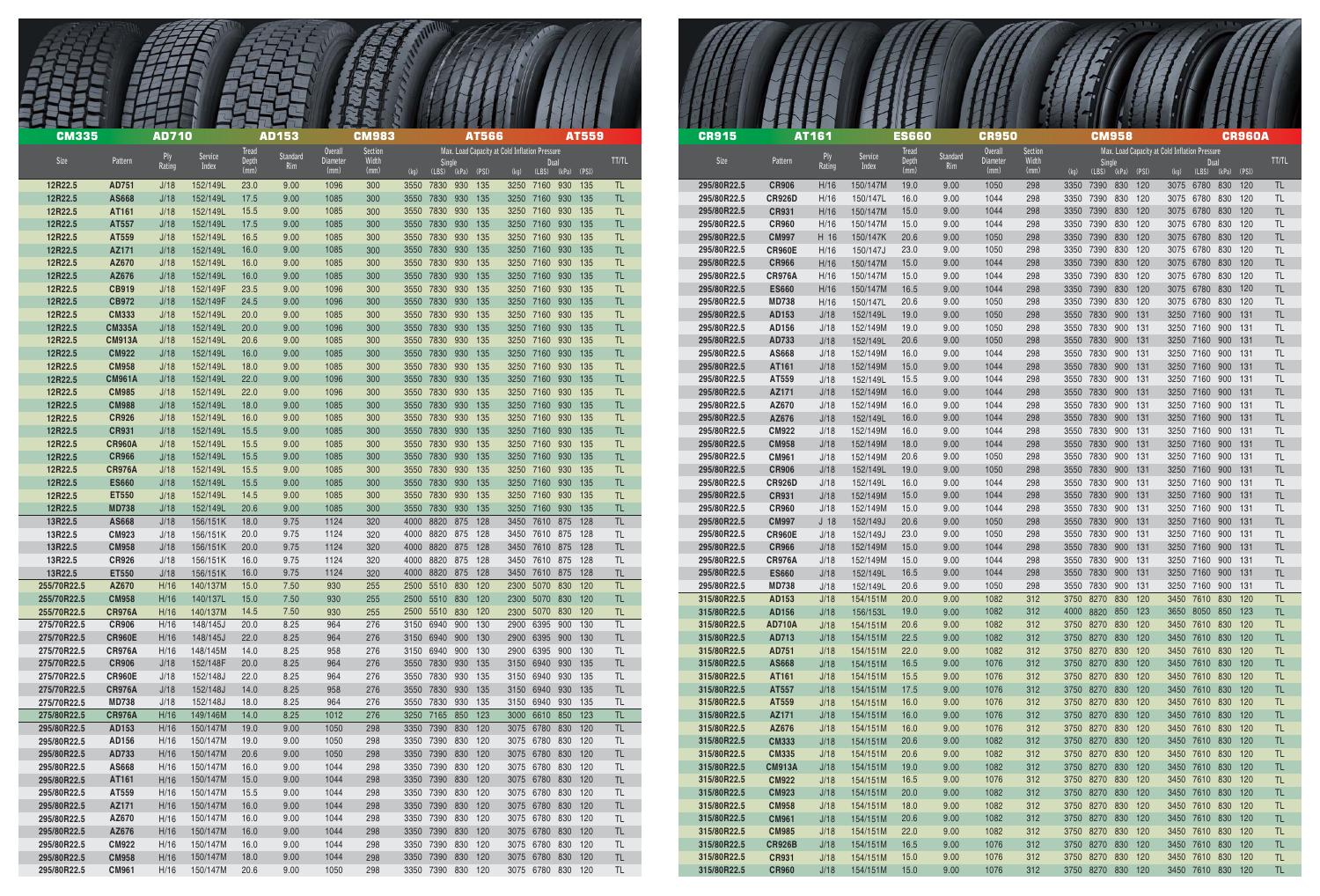| <b>CM335</b>               |                               | <b>AD710</b> |                      |                       | <b>AD153</b>    |                                           | <b>CM983</b>             | <b>AT566</b>                               | <b>AT559</b>                                                                             |            | <b>CR915</b>               |                              | <b>AT161</b>            |                      | <b>ES660</b>          |                 | <b>CR950</b>                       |                          | <b>CM958</b>                               |                                                       | <b>CR960A</b>     |
|----------------------------|-------------------------------|--------------|----------------------|-----------------------|-----------------|-------------------------------------------|--------------------------|--------------------------------------------|------------------------------------------------------------------------------------------|------------|----------------------------|------------------------------|-------------------------|----------------------|-----------------------|-----------------|------------------------------------|--------------------------|--------------------------------------------|-------------------------------------------------------|-------------------|
| Size                       | Pattern                       | Rating       | Service<br>Index     | <b>Tread</b><br>Depth | Standard<br>Rim | <b>Overall</b><br><b>Diameter</b><br>(mm) | Section<br>Width<br>(mm) | <b>Single</b><br>(kq)<br>(LBS) (kPa) (PSI) | Max. Load Capacity at Cold Inflation Pressure<br>Dual<br>$(LBS)$ $(kPa)$ $(PSI)$<br>(kq) | TT/TL      | Size                       | Pattern                      | Rating                  | Service<br>Index     | <b>Tread</b><br>Depth | Standard<br>Rim | <b>Overall</b><br>Diameter<br>(mm) | Section<br>Width<br>(mm) | <b>Single</b><br>(kq)<br>(LBS) (kPa) (PSI) | Max. Load Capacity at Cold Inflation Pressure<br>(kq) | (LBS) (kPa) (PSI) |
| 12R22.5                    | AD751                         | J/18         | 152/149L             | 23.0                  | 9.00            | 1096                                      | 300                      | 3550 7830 930 135                          | 3250 7160 930 135                                                                        | TL.        | 295/80R22.5                | <b>CR906</b>                 | H/16                    | 150/147M             | 19.0                  | 9.00            | 1050                               | 298                      | 3350 7390 830 120                          | 3075 6780 830 120                                     |                   |
| 12R22.5                    | AS668                         | J/18         | 152/149L             | 17.5                  | 9.00            | 1085                                      | 300                      | 3550 7830 930 135                          | 3250 7160 930 135                                                                        | TL.        | 295/80R22.5                | <b>CR926D</b>                | H/16                    | 150/147L             | 16.0                  | 9.00            | 1044                               | 298                      | 3350 7390 830 120                          | 3075 6780                                             | 830 120           |
| 12R22.5                    | AT161                         | J/18         | 152/149L             | 15.5                  | 9.00            | 1085                                      | 300                      | 3550<br>7830<br>930 135                    | 3250 7160<br>930 135                                                                     | TL.        | 295/80R22.5                | <b>CR931</b>                 | H/16                    | 150/147M             | 15.0                  | 9.00            | 1044                               | 298                      | 3350 7390 830 120                          | 3075 6780 830 120                                     |                   |
| 12R22.5<br>12R22.5         | AT557<br>AT559                | J/18<br>J/18 | 152/149L<br>152/149L | 17.5<br>16.5          | 9.00<br>9.00    | 1085<br>1085                              | 300<br>300               | 3550 7830 930 135<br>3550 7830<br>930 135  | 3250 7160 930 135<br>3250 7160 930 135                                                   | TL.<br>TL. | 295/80R22.5<br>295/80R22.5 | <b>CR960</b><br><b>CM997</b> | H/16<br>H 16            | 150/147M<br>150/147K | 15.0<br>20.6          | 9.00<br>9.00    | 1044<br>1050                       | 298<br>298               | 3350 7390<br>830 120<br>3350 7390 830 120  | 3075 6780<br>3075 6780 830 120                        | 830 120           |
| 12R22.5                    | AZ171                         | J/18         | 152/149L             | 16.0                  | 9.00            | 1085                                      | 300                      | 3550 7830 930 135                          | 3250 7160 930 135                                                                        | TL.        | 295/80R22.5                | <b>CR960E</b>                | H/16                    | 150/147J             | 23.0                  | 9.00            | 1050                               | 298                      | 3350 7390 830 120                          | 3075 6780 830 120                                     |                   |
| 12R22.5                    | AZ670                         | J/18         | 152/149L             | 16.0                  | 9.00            | 1085                                      | 300                      | 3550 7830 930 135                          | 3250 7160 930 135                                                                        | TL.        | 295/80R22.5                | <b>CR966</b>                 | H/16                    | 150/147M             | 15.0                  | 9.00            | 1044                               | 298                      | 3350 7390 830 120                          | 3075 6780 830 120                                     |                   |
| 12R22.5                    | AZ676                         | J/18         | 152/149L             | 16.0                  | 9.00            | 1085                                      | 300                      | 3550 7830 930 135                          | 3250 7160 930 135                                                                        | TL.        | 295/80R22.5                | <b>CR976A</b>                | H/16                    | 150/147M             | 15.0                  | 9.00            | 1044                               | 298                      | 3350 7390 830 120                          | 3075 6780 830 120                                     |                   |
| 12R22.5                    | <b>CB919</b>                  | J/18         | 152/149F             | 23.5                  | 9.00            | 1096                                      | 300                      | 3550 7830 930 135                          | 3250 7160 930 135                                                                        | TL.        | 295/80R22.5                | <b>ES660</b>                 | H/16                    | 150/147M             | 16.5                  | 9.00            | 1044                               | 298                      | 3350 7390 830 120                          | 3075 6780 830 120                                     |                   |
| 12R22.5                    | <b>CB972</b>                  | J/18         | 152/149F             | 24.5                  | 9.00            | 1096                                      | 300                      | 3550 7830 930 135                          | 3250 7160 930 135                                                                        | TL.        | 295/80R22.5                | <b>MD738</b>                 | H/16                    | 150/147L             | 20.6                  | 9.00            | 1050                               | 298                      | 3350 7390 830 120                          | 3075 6780 830 120                                     |                   |
| 12R22.5<br>12R22.5         | <b>CM333</b><br><b>CM335A</b> | J/18<br>J/18 | 152/149L<br>152/149L | 20.0<br>20.0          | 9.00<br>9.00    | 1085<br>1096                              | 300<br>300               | 3550 7830 930 135<br>3550 7830 930 135     | 3250 7160 930 135<br>3250 7160 930 135                                                   | TL.<br>TL. | 295/80R22.5<br>295/80R22.5 | AD153<br>AD156               | J/18<br>J/18            | 152/149L<br>152/149M | 19.0<br>19.0          | 9.00<br>9.00    | 1050<br>1050                       | 298<br>298               | 3550 7830 900 131<br>3550 7830 900 131     | 3250 7160 900 131<br>3250 7160 900 131                |                   |
| 12R22.5                    | <b>CM913A</b>                 | J/18         | 152/149L             | 20.6                  | 9.00            | 1085                                      | 300                      | 7830 930 135<br>3550                       | 3250 7160 930 135                                                                        | TL.        | 295/80R22.5                | AD733                        | J/18                    | 152/149L             | 20.6                  | 9.00            | 1050                               | 298                      | 3550 7830 900 131                          | 3250 7160 900 131                                     |                   |
| 12R22.5                    | <b>CM922</b>                  | J/18         | 152/149L             | 16.0                  | 9.00            | 1085                                      | 300                      | 3550 7830 930 135                          | 3250 7160 930 135                                                                        | TL.        | 295/80R22.5                | AS668                        | J/18                    | 152/149M             | 16.0                  | 9.00            | 1044                               | 298                      | 3550 7830 900 131                          | 3250 7160 900 131                                     |                   |
| 12R22.5                    | <b>CM958</b>                  | J/18         | 152/149L             | 18.0                  | 9.00            | 1085                                      | 300                      | 3550 7830 930 135                          | 3250 7160 930 135                                                                        | TL.        | 295/80R22.5                | AT161                        | J/18                    | 152/149M             | 15.0                  | 9.00            | 1044                               | 298                      | 3550 7830 900 131                          | 3250 7160 900 131                                     |                   |
| 12R22.5                    | <b>CM961A</b>                 | J/18         | 152/149L             | 22.0                  | 9.00            | 1096                                      | 300                      | 3550 7830 930 135                          | 3250 7160 930 135                                                                        | TL.        | 295/80R22.5                | AT559                        | J/18                    | 152/149L             | 15.5                  | 9.00            | 1044                               | 298                      | 3550 7830 900 131                          | 3250 7160 900 131                                     |                   |
| 12R22.5                    | <b>CM985</b>                  | J/18         | 152/149L             | 22.0                  | 9.00            | 1096                                      | 300                      | 3550 7830 930 135                          | 3250 7160<br>930 135                                                                     | TL.        | 295/80R22.5                | AZ171                        | J/18                    | 152/149M             | 16.0                  | 9.00            | 1044                               | 298                      | 3550 7830 900 131                          | 3250 7160                                             | 900 131           |
| 12R22.5<br>12R22.5         | <b>CM988</b><br><b>CR926</b>  | J/18<br>J/18 | 152/149L<br>152/149L | 18.0<br>16.0          | 9.00<br>9.00    | 1085<br>1085                              | 300<br>300               | 3550 7830 930 135<br>3550 7830 930 135     | 3250 7160 930 135<br>3250 7160 930 135                                                   | TL.<br>TL. | 295/80R22.5<br>295/80R22.5 | AZ670<br>AZ676               | J/18<br>J/18            | 152/149M<br>152/149L | 16.0<br>16.0          | 9.00<br>9.00    | 1044<br>1044                       | 298<br>298               | 3550 7830 900 131<br>3550 7830 900 131     | 3250 7160 900 131<br>3250 7160 900 131                |                   |
| 12R22.5                    | <b>CR931</b>                  | J/18         | 152/149L             | 15.5                  | 9.00            | 1085                                      | 300                      | 3550 7830 930 135                          | 3250 7160 930 135                                                                        | TL.        | 295/80R22.5                | <b>CM922</b>                 | J/18                    | 152/149M             | 16.0                  | 9.00            | 1044                               | 298                      | 3550 7830 900 131                          | 3250 7160 900 131                                     |                   |
| 12R22.5                    | <b>CR960A</b>                 | J/18         | 152/149L             | 15.5                  | 9.00            | 1085                                      | 300                      | 930 135<br>3550<br>7830                    | 3250 7160<br>930 135                                                                     | TL.        | 295/80R22.5                | <b>CM958</b>                 | J/18                    | 152/149M             | 18.0                  | 9.00            | 1044                               | 298                      | 3550 7830 900 131                          | 3250 7160 900 131                                     |                   |
| 12R22.5                    | <b>CR966</b>                  | J/18         | 152/149L             | 15.5                  | 9.00            | 1085                                      | 300                      | 3550 7830 930 135                          | 3250 7160 930 135                                                                        | TL.        | 295/80R22.5                | <b>CM961</b>                 | J/18                    | 152/149M             | 20.6                  | 9.00            | 1050                               | 298                      | 3550 7830 900 131                          | 3250 7160 900 131                                     |                   |
| 12R22.5                    | <b>CR976A</b>                 | J/18         | 152/149L             | 15.5                  | 9.00            | 1085                                      | 300                      | 3550 7830 930 135                          | 3250 7160 930 135                                                                        | TL.        | 295/80R22.5                | <b>CR906</b>                 | J/18                    | 152/149L             | 19.0                  | 9.00            | 1050                               | 298                      | 3550 7830 900 131                          | 3250 7160 900 131                                     |                   |
| 12R22.5                    | <b>ES660</b>                  | J/18         | 152/149L             | 15.5                  | 9.00            | 1085                                      | 300                      | 3550 7830 930 135                          | 3250 7160 930 135                                                                        | TL.        | 295/80R22.5                | <b>CR926D</b>                | J/18                    | 152/149L             | 16.0                  | 9.00            | 1044                               | 298                      | 3550 7830 900 131                          | 3250 7160 900 131                                     |                   |
| 12R22.5                    | <b>ET550</b>                  | J/18         | 152/149L             | 14.5                  | 9.00            | 1085                                      | 300                      | 3550 7830 930 135<br>3550 7830 930 135     | 3250 7160 930 135                                                                        | TL.        | 295/80R22.5                | <b>CR931</b>                 | J/18                    | 152/149M             | 15.0                  | 9.00            | 1044                               | 298                      | 3550 7830 900 131                          | 3250 7160 900 131                                     |                   |
| 12R22.5<br>13R22.5         | <b>MD738</b><br>AS668         | J/18<br>J/18 | 152/149L<br>156/151K | 20.6<br>18.0          | 9.00<br>9.75    | 1085<br>1124                              | 300<br>320               | 4000 8820 875 128                          | 3250 7160 930 135<br>3450 7610 875 128                                                   | TL.        | 295/80R22.5<br>295/80R22.5 | <b>CR960</b><br><b>CM997</b> | J/18<br>J <sub>18</sub> | 152/149M<br>152/149J | 15.0<br>20.6          | 9.00<br>9.00    | 1044<br>1050                       | 298<br>298               | 3550 7830 900 131<br>3550 7830 900 131     | 3250 7160 900 131<br>3250 7160 900 131                |                   |
| 13R22.5                    | <b>CM923</b>                  | J/18         | 156/151K             | 20.0                  | 9.75            | 1124                                      | 320                      | 4000 8820 875 128                          | 3450 7610 875 128                                                                        | TL.        | 295/80R22.5                | <b>CR960E</b>                | J/18                    | 152/149J             | 23.0                  | 9.00            | 1050                               | 298                      | 3550 7830 900 131                          | 3250 7160 900 131                                     |                   |
| 13R22.5                    | <b>CM958</b>                  | J/18         | 156/151K             | 20.0                  | 9.75            | 1124                                      | 320                      | 4000 8820 875 128                          | 3450 7610 875 128                                                                        | TL.        | 295/80R22.5                | <b>CR966</b>                 | J/18                    | 152/149M             | 15.0                  | 9.00            | 1044                               | 298                      | 3550 7830 900 131                          | 3250 7160 900 131                                     |                   |
| 13R22.5                    | <b>CR926</b>                  | J/18         | 156/151K             | 16.0                  | 9.75            | 1124                                      | 320                      | 4000 8820 875 128                          | 3450 7610 875 128                                                                        | TL.        | 295/80R22.5                | <b>CR976A</b>                | J/18                    | 152/149M             | 15.0                  | 9.00            | 1044                               | 298                      | 3550 7830 900 131                          | 3250 7160 900 131                                     |                   |
| 13R22.5                    | <b>ET550</b>                  | J/18         | 156/151K             | 16.0                  | 9.75            | 1124                                      | 320                      | 4000 8820 875 128                          | 3450 7610 875 128                                                                        | TL.        | 295/80R22.5                | <b>ES660</b>                 | J/18                    | 152/149L             | 16.5                  | 9.00            | 1044                               | 298                      | 3550 7830 900 131                          | 3250 7160 900 131                                     |                   |
| 255/70R22.5                | AZ670                         | H/16         | 140/137M             | 15.0                  | 7.50            | 930                                       | 255                      | 2500 5510 830 120                          | 2300 5070 830 120                                                                        | TL.        | 295/80R22.5                | <b>MD738</b>                 | J/18                    | 152/149L             | 20.6                  | 9.00            | 1050                               | 298                      | 3550 7830 900 131                          | 3250 7160 900 131                                     |                   |
| 255/70R22.5<br>255/70R22.5 | <b>CM958</b><br><b>CR976A</b> | H/16<br>H/16 | 140/137L<br>140/137M | 15.0<br>14.5          | 7.50<br>7.50    | 930<br>930                                | 255<br>255               | 2500 5510 830 120<br>2500 5510 830 120     | 2300 5070 830 120<br>2300 5070 830 120                                                   | TL.<br>TL. | 315/80R22.5<br>315/80R22.5 | AD153<br>AD156               | J/18<br>J/18            | 154/151M<br>156/153L | 20.0<br>19.0          | 9.00<br>9.00    | 1082<br>1082                       | 312<br>312               | 3750 8270 830 120<br>4000 8820 850 123     | 3450 7610 830 120<br>3650 8050 850 123                |                   |
| 275/70R22.5                | <b>CR906</b>                  | H/16         | 148/145J             | 20.0                  | 8.25            | 964                                       | 276                      | 3150 6940 900 130                          | 2900 6395 900 130                                                                        | TL         | 315/80R22.5                | <b>AD710A</b>                | J/18                    | 154/151M             | 20.6                  | 9.00            | 1082                               | 312                      | 3750 8270 830 120                          | 3450 7610 830 120                                     |                   |
| 275/70R22.5                | <b>CR960E</b>                 | H/16         | 148/145J             | 22.0                  | 8.25            | 964                                       | 276                      | 3150 6940 900 130                          | 2900 6395 900 130                                                                        | TL.        | 315/80R22.5                | AD713                        | J/18                    | 154/151M             | 22.5                  | 9.00            | 1082                               | 312                      | 3750 8270 830 120                          | 3450 7610 830 120                                     |                   |
| 275/70R22.5                | <b>CR976A</b>                 | H/16         | 148/145M             | 14.0                  | 8.25            | 958                                       | 276                      | 3150 6940 900 130                          | 2900 6395 900 130                                                                        | TL         | 315/80R22.5                | AD751                        | J/18                    | 154/151M             | 22.0                  | 9.00            | 1082                               | 312                      | 3750 8270 830 120                          | 3450 7610 830 120                                     |                   |
| 275/70R22.5                | <b>CR906</b>                  | J/18         | 152/148F             | 20.0                  | 8.25            | 964                                       | 276                      | 3550 7830 930 135                          | 3150 6940 930 135                                                                        | TL         | 315/80R22.5                | AS668                        | J/18                    | 154/151M             | 16.5                  | 9.00            | 1076                               | 312                      | 3750 8270 830 120                          | 3450 7610 830 120                                     |                   |
| 275/70R22.5                | <b>CR960E</b>                 | J/18         | 152/148J             | 22.0                  | 8.25            | 964                                       | 276                      | 3550 7830 930 135                          | 3150 6940 930 135                                                                        | TL.        | 315/80R22.5                | AT161                        | J/18                    | 154/151M             | 15.5                  | 9.00            | 1076                               | 312                      | 3750 8270 830 120                          | 3450 7610 830 120                                     |                   |
| 275/70R22.5<br>275/70R22.5 | <b>CR976A</b><br><b>MD738</b> | J/18<br>J/18 | 152/148J<br>152/148J | 14.0<br>18.0          | 8.25<br>8.25    | 958<br>964                                | 276<br>276               | 3550 7830 930 135<br>3550 7830 930 135     | 3150 6940 930 135<br>3150 6940 930 135                                                   | TL<br>TL.  | 315/80R22.5<br>315/80R22.5 | AT557<br>AT559               | J/18<br>J/18            | 154/151M<br>154/151M | 17.5<br>16.0          | 9.00<br>9.00    | 1076<br>1076                       | 312<br>312               | 3750 8270 830 120<br>3750 8270 830 120     | 3450 7610 830 120<br>3450 7610 830 120                |                   |
| 275/80R22.5                | <b>CR976A</b>                 | H/16         | 149/146M             | 14.0                  | 8.25            | 1012                                      | 276                      | 3250 7165 850 123                          | 3000 6610 850 123                                                                        | TL.        | 315/80R22.5                | AZ171                        | J/18                    | 154/151M             | 16.0                  | 9.00            | 1076                               | 312                      | 3750 8270 830 120                          | 3450 7610 830 120                                     |                   |
| 295/80R22.5                | AD153                         | H/16         | 150/147M             | 19.0                  | 9.00            | 1050                                      | 298                      | 3350 7390 830 120                          | 3075 6780 830 120                                                                        | TL.        | 315/80R22.5                | AZ676                        | J/18                    | 154/151M             | 16.0                  | 9.00            | 1076                               | 312                      | 3750 8270 830 120                          | 3450 7610 830 120                                     |                   |
| 295/80R22.5                | AD156                         | H/16         | 150/147M             | 19.0                  | 9.00            | 1050                                      | 298                      | 3350 7390 830 120                          | 3075 6780 830 120                                                                        | TL.        | 315/80R22.5                | <b>CM333</b>                 | J/18                    | 154/151M             | 20.6                  | 9.00            | 1082                               | 312                      | 3750 8270 830 120                          | 3450 7610 830 120                                     |                   |
| 295/80R22.5                | AD733                         | H/16         | 150/147M             | 20.6                  | 9.00            | 1050                                      | 298                      | 3350 7390 830 120                          | 3075 6780 830 120                                                                        | TL.        | 315/80R22.5                | <b>CM335</b>                 | J/18                    | 154/151M             | 20.6                  | 9.00            | 1082                               | 312                      | 3750 8270 830 120                          | 3450 7610 830 120                                     |                   |
| 295/80R22.5                | AS668                         | H/16         | 150/147M             | 16.0                  | 9.00            | 1044                                      | 298                      | 3350 7390 830 120                          | 3075 6780 830 120                                                                        | TL.        | 315/80R22.5                | <b>CM913A</b>                | J/18                    | 154/151M             | 19.0                  | 9.00            | 1082                               | 312                      | 3750 8270 830 120                          | 3450 7610 830 120                                     |                   |
| 295/80R22.5<br>295/80R22.5 | AT161<br>AT559                | H/16<br>H/16 | 150/147M<br>150/147M | 15.0<br>15.5          | 9.00<br>9.00    | 1044<br>1044                              | 298<br>298               | 3350 7390 830 120<br>3350 7390 830 120     | 3075 6780 830 120<br>3075 6780 830 120                                                   | TL.<br>TL. | 315/80R22.5<br>315/80R22.5 | <b>CM922</b><br><b>CM923</b> | J/18<br>J/18            | 154/151M<br>154/151M | 16.5<br>20.0          | 9.00<br>9.00    | 1076<br>1082                       | 312<br>312               | 3750 8270 830 120<br>3750 8270 830 120     | 3450 7610 830 120<br>3450 7610 830 120                |                   |
| 295/80R22.5                | AZ171                         | H/16         | 150/147M             | 16.0                  | 9.00            | 1044                                      | 298                      | 3350 7390 830 120                          | 3075 6780 830 120                                                                        | TL.        | 315/80R22.5                | <b>CM958</b>                 | J/18                    | 154/151M             | 18.0                  | 9.00            | 1082                               | 312                      | 3750 8270 830 120                          | 3450 7610 830 120                                     |                   |
| 295/80R22.5                | AZ670                         | H/16         | 150/147M             | 16.0                  | 9.00            | 1044                                      | 298                      | 3350 7390 830 120                          | 3075 6780 830 120                                                                        | TL.        | 315/80R22.5                | <b>CM961</b>                 | J/18                    | 154/151M             | 20.6                  | 9.00            | 1082                               | 312                      | 3750 8270 830 120                          | 3450 7610 830 120                                     |                   |
| 295/80R22.5                | AZ676                         | H/16         | 150/147M             | 16.0                  | 9.00            | 1044                                      | 298                      | 3350 7390 830 120                          | 3075 6780 830 120                                                                        | TL.        | 315/80R22.5                | <b>CM985</b>                 | J/18                    | 154/151M             | 22.0                  | 9.00            | 1082                               | 312                      | 3750 8270 830 120                          | 3450 7610 830 120                                     |                   |
| 295/80R22.5                | <b>CM922</b>                  | H/16         | 150/147M             | 16.0                  | 9.00            | 1044                                      | 298                      | 3350 7390 830 120                          | 3075 6780 830 120                                                                        | TL         | 315/80R22.5                | <b>CR926B</b>                | J/18                    | 154/151M             | 16.5                  | 9.00            | 1076                               | 312                      | 3750 8270 830 120                          | 3450 7610 830 120                                     |                   |
| 295/80R22.5                | <b>CM958</b>                  | H/16         | 150/147M             | 18.0                  | 9.00            | 1044                                      | 298                      | 3350 7390 830 120                          | 3075 6780 830 120                                                                        | TL         | 315/80R22.5                | <b>CR931</b>                 | J/18                    | 154/151M             | 15.0                  | 9.00            | 1076                               | 312                      | 3750 8270 830 120                          | 3450 7610 830 120                                     |                   |
| 295/80R22.5                | <b>CM961</b>                  | H/16         | 150/147M             | 20.6                  | 9.00            | 1050                                      | 298                      | 3350 7390 830 120                          | 3075 6780 830 120                                                                        | TL.        | 315/80R22.5                | <b>CR960</b>                 | J/18                    | 154/151M             | 15.0                  | 9.00            | 1076                               | 312                      | 3750 8270 830 120                          | 3450 7610 830 120                                     |                   |

| <b>CR915</b>               |                               | AT161           |                      | <b>ES660</b>          |              | CR9!                       |
|----------------------------|-------------------------------|-----------------|----------------------|-----------------------|--------------|----------------------------|
| <b>Size</b>                | Pattern                       | Ply             | <b>Service</b>       | <b>Tread</b><br>Depth | Standard     | <b>Overall</b><br>Diameter |
|                            |                               | Rating          | Index                | (mm)                  | Rim          | (mm)                       |
| 295/80R22.5<br>295/80R22.5 | <b>CR906</b><br><b>CR926D</b> | H/16<br>H/16    | 150/147M<br>150/147L | 19.0<br>16.0          | 9.00<br>9.00 | 1050<br>1044               |
| 295/80R22.5                | <b>CR931</b>                  | H/16            | 150/147M             | 15.0                  | 9.00         | 1044                       |
| 295/80R22.5                | <b>CR960</b>                  | H/16            | 150/147M             | 15.0                  | 9.00         | 1044                       |
| 295/80R22.5                | <b>CM997</b>                  | H 16            | 150/147K             | 20.6                  | 9.00         | 1050                       |
| 295/80R22.5                | <b>CR960E</b>                 | H/16            | 150/147J             | 23.0                  | 9.00         | 1050                       |
| 295/80R22.5                | <b>CR966</b>                  | H/16            | 150/147M             | 15.0                  | 9.00         | 1044                       |
| 295/80R22.5                | <b>CR976A</b>                 | H/16            | 150/147M             | 15.0                  | 9.00         | 1044                       |
| 295/80R22.5                | <b>ES660</b>                  | H/16            | 150/147M             | 16.5                  | 9.00         | 1044                       |
| 295/80R22.5                | <b>MD738</b>                  | H/16            | 150/147L             | 20.6                  | 9.00         | 1050                       |
| 295/80R22.5<br>295/80R22.5 | AD153                         | J/18            | 152/149L             | 19.0<br>19.0          | 9.00<br>9.00 | 1050                       |
| 295/80R22.5                | AD156<br>AD733                | J/18<br>J/18    | 152/149M<br>152/149L | 20.6                  | 9.00         | 1050<br>1050               |
| 295/80R22.5                | AS668                         | J/18            | 152/149M             | 16.0                  | 9.00         | 1044                       |
| 295/80R22.5                | AT161                         | J/18            | 152/149M             | 15.0                  | 9.00         | 1044                       |
| 295/80R22.5                | AT559                         | J/18            | 152/149L             | 15.5                  | 9.00         | 1044                       |
| 295/80R22.5                | AZ171                         | J/18            | 152/149M             | 16.0                  | 9.00         | 1044                       |
| 295/80R22.5                | AZ670                         | J/18            | 152/149M             | 16.0                  | 9.00         | 1044                       |
| 295/80R22.5                | AZ676                         | J/18            | 152/149L             | 16.0                  | 9.00         | 1044                       |
| 295/80R22.5                | <b>CM922</b>                  | J/18            | 152/149M             | 16.0                  | 9.00         | 1044                       |
| 295/80R22.5                | <b>CM958</b>                  | J/18            | 152/149M             | 18.0                  | 9.00         | 1044                       |
| 295/80R22.5                | <b>CM961</b>                  | J/18            | 152/149M             | 20.6                  | 9.00         | 1050                       |
| 295/80R22.5<br>295/80R22.5 | <b>CR906</b>                  | J/18            | 152/149L             | 19.0                  | 9.00         | 1050                       |
| 295/80R22.5                | <b>CR926D</b><br><b>CR931</b> | J/18<br>J/18    | 152/149L<br>152/149M | 16.0<br>15.0          | 9.00<br>9.00 | 1044<br>1044               |
| 295/80R22.5                | <b>CR960</b>                  | J/18            | 152/149M             | 15.0                  | 9.00         | 1044                       |
| 295/80R22.5                | <b>CM997</b>                  | J <sub>18</sub> | 152/149J             | 20.6                  | 9.00         | 1050                       |
| 295/80R22.5                | <b>CR960E</b>                 | J/18            | 152/149J             | 23.0                  | 9.00         | 1050                       |
| 295/80R22.5                | <b>CR966</b>                  | J/18            | 152/149M             | 15.0                  | 9.00         | 1044                       |
| 295/80R22.5                | <b>CR976A</b>                 | J/18            | 152/149M             | 15.0                  | 9.00         | 1044                       |
| 295/80R22.5                | <b>ES660</b>                  | J/18            | 152/149L             | 16.5                  | 9.00         | 1044                       |
| 295/80R22.5                | <b>MD738</b>                  | J/18            | 152/149L             | 20.6                  | 9.00         | 1050                       |
| 315/80R22.5                | AD153                         | J/18            | 154/151M             | 20.0                  | 9.00         | 1082                       |
| 315/80R22.5                | AD156                         | J/18            | 156/153L             | 19.0                  | 9.00         | 1082                       |
| 315/80R22.5<br>315/80R22.5 | <b>AD710A</b>                 | J/18            | 154/151M<br>154/151M | 20.6<br>22.5          | 9.00<br>9.00 | 1082<br>1082               |
| 315/80R22.5                | AD713<br>AD751                | J/18<br>J/18    | 154/151M             | 22.0                  | 9.00         | 1082                       |
| 315/80R22.5                | <b>AS668</b>                  | J/18            | 154/151M             | 16.5                  | 9.00         | 1076                       |
| 315/80R22.5                | AT161                         | J/18            | 154/151M             | 15.5                  | 9.00         | 1076                       |
| 315/80R22.5                | AT557                         | J/18            | 154/151M             | 17.5                  | 9.00         | 1076                       |
| 315/80R22.5                | AT559                         | J/18            | 154/151M             | 16.0                  | 9.00         | 1076                       |
| 315/80R22.5                | AZ171                         | J/18            | 154/151M             | 16.0                  | 9.00         | 1076                       |
| 315/80R22.5                | AZ676                         | J/18            | 154/151M             | 16.0                  | 9.00         | 1076                       |
| 315/80R22.5                | <b>CM333</b>                  | J/18            | 154/151M             | 20.6                  | 9.00         | 1082                       |
| 315/80R22.5                | <b>CM335</b>                  | J/18            | 154/151M             | 20.6                  | 9.00         | 1082                       |
| 315/80R22.5<br>315/80R22.5 | <b>CM913A</b>                 | J/18            | 154/151M             | 19.0                  | 9.00         | 1082                       |
| 315/80R22.5                | <b>CM922</b><br><b>CM923</b>  | J/18<br>J/18    | 154/151M<br>154/151M | 16.5<br>20.0          | 9.00<br>9.00 | 1076<br>1082               |
| 315/80R22.5                | <b>CM958</b>                  | J/18            | 154/151M             | 18.0                  | 9.00         | 1082                       |
| 315/80R22.5                | <b>CM961</b>                  | J/18            | 154/151M             | 20.6                  | 9.00         | 1082                       |
| 315/80R22.5                | <b>CM985</b>                  | J/18            | 154/151M             | 22.0                  | 9.00         | 1082                       |
| 315/80R22.5                | <b>CR926B</b>                 | J/18            | 154/151M             | 16.5                  | 9.00         | 1076                       |
| 315/80R22.5                | <b>CR931</b>                  | J/18            | 154/151M             | 15.0                  | 9.00         | 1076                       |
| 315/80R22.5                | <b>CR960</b>                  | J/18            | 154/151M             | 15.0                  | 9.00         | 1076                       |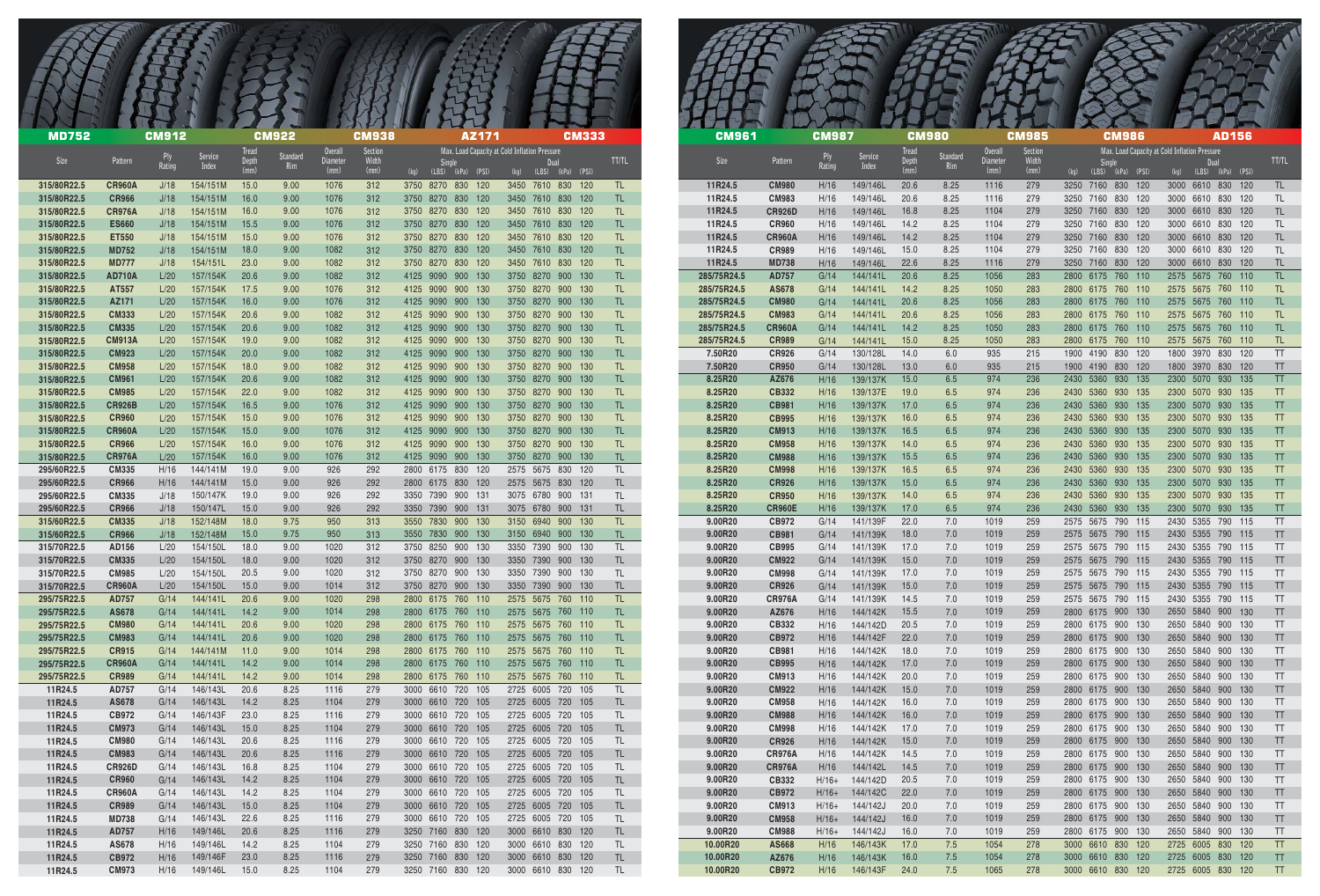| <b>MD752</b>               |                               | <b>CM912</b> |                           |              | <b>CM922</b>              |                            | <b>CM938</b>     |                                                     | AZ171 |                                               |      | <b>CM333</b> |            | <b>CM961</b>               |                                | <b>CM987</b>       |                                | <b>CM980</b> |                 |                            | <b>CM985</b>     | <b>CM986</b>                                    | <b>AD156</b>                                          |
|----------------------------|-------------------------------|--------------|---------------------------|--------------|---------------------------|----------------------------|------------------|-----------------------------------------------------|-------|-----------------------------------------------|------|--------------|------------|----------------------------|--------------------------------|--------------------|--------------------------------|--------------|-----------------|----------------------------|------------------|-------------------------------------------------|-------------------------------------------------------|
| Size                       | Pattern                       | Rating       | <b>Service</b><br>Index   | Depth        | Standard<br>Rim           | <b>Overall</b><br>Diameter | Section<br>Width | Single                                              |       | Max. Load Capacity at Cold Inflation Pressure | Dual |              | TT/TL      | Size                       | Pattern                        |                    | Service<br>Index               | Depth        | Standard<br>Rim | <b>Overall</b><br>Diameter | Section<br>Width | <b>Single</b>                                   | Max. Load Capacity at Cold Inflation Pressure<br>Dual |
| 315/80R22.5                | <b>CR960A</b>                 | J/18         | 154/151M                  | (mm)<br>15.0 | 9.00                      | (mm)<br>1076               | (mm)<br>312      | $(kq)$ $(LBS)$ $(kPa)$ $(PSI)$<br>3750 8270 830 120 |       | (kg) (LBS) (kPa) (PSI)<br>3450 7610 830 120   |      |              | TL.        | 11R24.5                    | <b>CM980</b>                   | H/16               | 149/146L                       | (mm)<br>20.6 | 8.25            | (mm)<br>1116               | (mm)<br>279      | $(kq)$ (LBS) $(kPa)$ (PSI)<br>3250 7160 830 120 | (kg) (LBS) (kPa) (PSI<br>3000 6610 830 120            |
| 315/80R22.5                | <b>CR966</b>                  | J/18         | 154/151M                  | 16.0         | 9.00                      | 1076                       | 312              | 3750 8270 830 120                                   |       | 3450 7610 830 120                             |      |              |            | 11R24.5                    | <b>CM983</b>                   | H/16               | 149/146L                       | 20.6         | 8.25            | 1116                       | 279              | 3250 7160 830 120                               | 3000 6610 830 120                                     |
| 315/80R22.5<br>315/80R22.5 | CR976A<br><b>ES660</b>        | J/18<br>J/18 | 154/151M<br>154/151M      | 16.0<br>15.5 | 9.00<br>9.00              | 1076<br>1076               | 312<br>312       | 3750 8270 830 120<br>3750 8270 830 120              |       | 3450 7610 830 120<br>3450 7610 830 120        |      |              | TL.<br>TL. | 11R24.5<br>11R24.5         | <b>CR926D</b><br><b>CR960</b>  | H/16<br>H/16       | 149/146L<br>149/146L           | 16.8<br>14.2 | 8.25<br>8.25    | 1104<br>1104               | 279<br>279       | 3250 7160 830 120<br>3250 7160 830 120          | 3000 6610 830 120<br>3000 6610 830 120                |
| 315/80R22.5                | <b>ET550</b>                  | J/18         | 154/151M                  | 15.0         | 9.00                      | 1076                       | 312              | 3750 8270 830 120                                   |       | 3450 7610 830 120                             |      |              | TL.        | 11R24.5                    | <b>CR960A</b>                  | H/16               | 149/146L                       | 14.2         | 8.25            | 1104                       | 279              | 3250 7160 830 120                               | 3000 6610 830 120                                     |
| 315/80R22.5<br>315/80R22.5 | <b>MD752</b><br><b>MD777</b>  | J/18         | 154/151M<br>154/151L      | 18.0<br>23.0 | 9.00                      | 1082<br>1082               | 312<br>312       | 3750 8270 830 120<br>3750 8270 830 120              |       | 3450 7610 830 120                             |      |              | TL.        | 11R24.5<br>11R24.5         | <b>CR989</b><br><b>MD738</b>   | H/16<br>H/16       | 149/146L<br>149/146L           | 15.0<br>22.6 | 8.25<br>8.25    | 1104<br>1116               | 279<br>279       | 3250 7160 830 120<br>3250 7160 830 120          | 3000 6610 830 120<br>3000 6610 830 120                |
| 315/80R22.5                | <b>AD710A</b>                 | J/18<br>L/20 | 157/154K                  | 20.6         | 9.00 <sub>1</sub><br>9.00 | 1082                       | 312              | 4125 9090 900 130                                   |       | 3450 7610 830 120<br>3750 8270 900 130        |      |              | TL.<br>TL. | 285/75R24.5                | <b>AD757</b>                   | G/14               | 144/141L                       | 20.6         | 8.25            | 1056                       | 283              | 2800 6175 760 110                               | 2575 5675 760 110                                     |
| 315/80R22.5                | AT557                         | L/20         | 157/154K                  | 17.5         | 9.00                      | 1076                       | 312              | 4125 9090 900 130                                   |       | 3750 8270 900 130                             |      |              | TL.        | 285/75R24.5                | AS678                          | G/14               | 144/141L                       | 14.2         | 8.25            | 1050                       | 283              | 2800 6175 760 110                               | 2575 5675 760 110                                     |
| 315/80R22.5<br>315/80R22.5 | AZ171<br><b>CM333</b>         | L/20<br>L/20 | 157/154K<br>157/154K      | 16.0<br>20.6 | 9.00<br>9.00              | 1076<br>1082               | 312<br>312       | 4125 9090 900 130<br>4125 9090 900 130              |       | 3750 8270 900 130<br>3750 8270 900 130        |      |              | TL.<br>TL. | 285/75R24.5<br>285/75R24.5 | <b>CM980</b><br><b>CM983</b>   | G/14<br>G/14       | 144/141L<br>144/141L           | 20.6<br>20.6 | 8.25<br>8.25    | 1056<br>1056               | 283<br>283       | 2800 6175 760 110<br>2800 6175 760 110          | 2575 5675 760 110<br>2575 5675 760 110                |
| 315/80R22.5                | <b>CM335</b>                  | L/20         | 157/154K                  | 20.6         | 9.00                      | 1082                       | 312              | 4125 9090 900 130                                   |       | 3750 8270 900 130                             |      |              | TL.        | 285/75R24.5                | <b>CR960A</b>                  | G/14               | 144/141L                       | 14.2         | 8.25            | 1050                       | 283              | 2800 6175 760 110                               | 2575 5675 760 110                                     |
| 315/80R22.5                | <b>CM913A</b>                 | L/20         | 157/154K                  | 19.0         | 9.00                      | 1082                       | 312              | 4125 9090 900 130                                   |       | 3750 8270 900 130                             |      |              | TL.        | 285/75R24.5                | <b>CR989</b>                   | G/14               | 144/141L                       | 15.0         | 8.25            | 1050                       | 283              | 2800 6175 760 110                               | 2575 5675 760 110                                     |
| 315/80R22.5<br>315/80R22.5 | <b>CM923</b><br><b>CM958</b>  | L/20<br>L/20 | 157/154K<br>157/154K      | 20.0<br>18.0 | 9.00<br>9.00              | 1082<br>1082               | 312<br>312       | 4125 9090 900 130<br>4125 9090 900 130              |       | 3750 8270 900 130<br>3750 8270 900 130        |      |              | TL.<br>TL. | 7.50R20<br>7.50R20         | <b>CR926</b><br><b>CR950</b>   | G/14<br>G/14       | 130/128L<br>130/128L           | 14.0<br>13.0 | 6.0<br>6.0      | 935<br>935                 | 215<br>215       | 1900 4190 830 120<br>1900 4190 830 120          | 1800 3970 830 120<br>1800 3970 830 120                |
| 315/80R22.5                | <b>CM961</b>                  | L/20         | 157/154K                  | 20.6         | 9.00                      | 1082                       | 312              | 4125 9090 900 130                                   |       | 3750 8270 900 130                             |      |              | TL.        | 8.25R20                    | AZ676                          | H/16               | 139/137K                       | 15.0         | 6.5             | 974                        | 236              | 2430 5360 930 135                               | 2300 5070 930 135                                     |
| 315/80R22.5                | <b>CM985</b>                  | L/20         | 157/154K                  | 22.0         | 9.00                      | 1082                       | 312              | 4125 9090 900 130                                   |       | 3750 8270 900 130                             |      |              | TL.        | 8.25R20                    | CB332                          | H/16               | 139/137E                       | 19.0         | 6.5             | 974                        | 236              | 2430 5360 930 135                               | 2300 5070 930 135                                     |
| 315/80R22.5<br>315/80R22.5 | CR926B<br><b>CR960</b>        | L/20<br>L/20 | 157/154K<br>157/154K      | 16.5<br>15.0 | 9.00<br>9.00              | 1076<br>1076               | 312<br>312       | 4125 9090 900 130<br>4125 9090 900 130              |       | 3750 8270 900 130<br>3750 8270 900 130        |      |              | TL.<br>TL. | 8.25R20<br>8.25R20         | CB981<br><b>CB995</b>          | H/16<br>H/16       | 139/137K<br>139/137K           | 17.0<br>16.0 | 6.5<br>6.5      | 974<br>974                 | 236<br>236       | 2430 5360 930 135<br>2430 5360 930 135          | 2300 5070 930 135<br>2300 5070 930 135                |
| 315/80R22.5                | <b>CR960A</b>                 | L/20         | 157/154K                  | 15.0         | 9.00                      | 1076                       | 312              | 4125 9090 900 130                                   |       | 3750 8270 900 130                             |      |              | TL.        | 8.25R20                    | CM913                          | H/16               | 139/137K                       | 16.5         | 6.5             | 974                        | 236              | 2430 5360 930 135                               | 2300 5070 930 135                                     |
| 315/80R22.5                | <b>CR966</b>                  | L/20         | 157/154K                  | 16.0         | 9.00                      | 1076                       | 312              | 4125 9090 900 130                                   |       | 3750 8270 900 130                             |      |              | TL.        | 8.25R20                    | <b>CM958</b>                   | H/16               | 139/137K                       | 14.0         | 6.5             | 974                        | 236              | 2430 5360 930 135                               | 2300 5070 930 135                                     |
| 315/80R22.5<br>295/60R22.5 | <b>CR976A</b><br><b>CM335</b> | L/20<br>H/16 | 157/154K<br>144/141M      | 16.0<br>19.0 | 9.00<br>9.00              | 1076<br>926                | 312<br>292       | 4125 9090 900 130<br>2800 6175 830 120              |       | 3750 8270 900 130<br>2575 5675 830 120        |      |              | TL.<br>TL. | 8.25R20<br>8.25R20         | <b>CM988</b><br><b>CM998</b>   | H/16<br>H/16       | 139/137K<br>139/137K           | 15.5<br>16.5 | 6.5<br>6.5      | 974<br>974                 | 236<br>236       | 2430 5360 930 135<br>2430 5360 930 135          | 2300 5070 930 135<br>2300 5070 930 135                |
| 295/60R22.5                | <b>CR966</b>                  | H/16         | 144/141M                  | 15.0         | 9.00                      | 926                        | 292              | 2800 6175 830 120                                   |       | 2575 5675 830 120                             |      |              | TL.        | 8.25R20                    | CR926                          | H/16               | 139/137K                       | 15.0         | 6.5             | 974                        | 236              | 2430 5360 930 135                               | 2300 5070 930 135                                     |
| 295/60R22.5                | <b>CM335</b>                  | J/18         | 150/147K                  | 19.0         | 9.00                      | 926                        | 292              | 3350 7390 900 131                                   |       | 3075 6780 900 131                             |      |              | TL.        | 8.25R20                    | <b>CR950</b>                   | H/16               | 139/137K                       | 14.0         | 6.5             | 974                        | 236              | 2430 5360 930 135                               | 2300 5070 930 135                                     |
| 295/60R22.5<br>315/60R22.5 | <b>CR966</b><br><b>CM335</b>  | J/18<br>J/18 | 150/147L<br>152/148M      | 15.0<br>18.0 | 9.00<br>9.75              | 926<br>950                 | 292<br>313       | 3350 7390 900 131<br>3550 7830 900 130              |       | 3075 6780 900 131<br>3150 6940 900 130        |      |              | TL.<br>TL. | 8.25R20<br>9.00R20         | <b>CR960E</b><br>CB972         | H/16<br>G/14       | 139/137K<br>141/139F           | 17.0<br>22.0 | 6.5<br>7.0      | 974<br>1019                | 236<br>259       | 2430 5360 930 135<br>2575 5675 790 115          | 2300 5070 930 135<br>2430 5355 790 115                |
| 315/60R22.5                | <b>CR966</b>                  | J/18         | 152/148M                  | 15.0         | 9.75                      | 950                        | 313              | 3550 7830 900 130                                   |       | 3150 6940 900 130                             |      |              | TL.        | 9.00R20                    | <b>CB981</b>                   | G/14               | 141/139K                       | 18.0         | 7.0             | 1019                       | 259              | 2575 5675 790 115                               | 2430 5355 790 115                                     |
| 315/70R22.5<br>315/70R22.5 | AD156                         | L/20         | 154/150L                  | 18.0         | 9.00                      | 1020                       | 312              | 3750 8250 900 130                                   |       | 3350 7390 900 130                             |      |              | TL.        | 9.00R20                    | CB995                          | G/14               | 141/139K                       | 17.0         | 7.0             | 1019                       | 259              | 2575 5675 790 115<br>2575 5675 790 115          | 2430 5355 790 115                                     |
| 315/70R22.5                | <b>CM335</b><br><b>CM985</b>  | L/20<br>L/20 | 154/150L<br>154/150L      | 18.0<br>20.5 | 9.00<br>9.00              | 1020<br>1020               | 312<br>312       | 3750 8270 900 130<br>3750 8270 900 130              |       | 3350 7390 900 130<br>3350 7390 900 130        |      |              | TL.<br>TL. | 9.00R20<br>9.00R20         | <b>CM922</b><br><b>CM998</b>   | G/14<br>G/14       | 141/139K<br>141/139K           | 15.0<br>17.0 | 7.0<br>7.0      | 1019<br>1019               | 259<br>259       | 2575 5675 790 115                               | 2430 5355 790 115<br>2430 5355 790 115                |
| 315/70R22.5                | <b>CR960A</b>                 | L/20         | 154/150L                  | 15.0         | 9.00                      | 1014                       | 312              | 3750 8270 900 130                                   |       | 3350 7390 900 130                             |      |              | TL.        | 9.00R20                    | <b>CR926</b>                   | G/14               | 141/139K                       | 15.0         | 7.0             | 1019                       | 259              | 2575 5675 790 115                               | 2430 5355 790 115                                     |
| 295/75R22.5<br>295/75R22.5 | AD757<br>AS678                | G/14<br>G/14 | 144/141L<br>144/141L 14.2 | 20.6         | 9.00                      | 1020<br>1014               | 298              | 2800 6175 760 110                                   |       | 2575 5675 760 110<br>2575 5675 760 110        |      |              | TL.        | 9.00R20<br>9.00R20         | CR976A<br>AZ676                | G/14<br>H/16       | 141/139K                       | 14.5<br>15.5 | 7.0             | 1019<br>1019               | 259              | 2575 5675 790 115                               | 2430 5355 790 115<br>2650 5840 900 130                |
| 295/75R22.5                | <b>CM980</b>                  | G/14         | 144/141L 20.6             |              | 9.00<br>9.00              | 1020                       | 298<br>298       | 2800 6175 760 110<br>2800 6175 760 110              |       | 2575 5675 760 110                             |      |              | TL.<br>TL. | 9.00R20                    | CB332                          | H/16               | 144/142K<br>144/142D           | 20.5         | 7.0<br>7.0      | 1019                       | 259<br>259       | 2800 6175 900 130<br>2800 6175 900 130          | 2650 5840 900 130                                     |
| 295/75R22.5                | <b>CM983</b>                  | G/14         | 144/141L                  | 20.6         | 9.00                      | 1020                       | 298              | 2800 6175 760 110 2575 5675 760 110                 |       |                                               |      |              | TL.        | 9.00R20                    | <b>CB972</b>                   | H/16               | 144/142F                       | 22.0         | 7.0             | 1019                       | 259              | 2800 6175 900 130                               | 2650 5840 900 130                                     |
| 295/75R22.5<br>295/75R22.5 | <b>CR915</b><br><b>CR960A</b> | G/14<br>G/14 | 144/141M<br>144/141L 14.2 | 11.0         | 9.00<br>9.00              | 1014<br>1014               | 298<br>298       | 2800 6175 760 110<br>2800 6175 760 110              |       | 2575 5675 760 110<br>2575 5675 760 110        |      |              | TL.<br>TL. | 9.00R20<br>9.00R20         | <b>CB981</b><br><b>CB995</b>   | H/16<br>H/16       | 144/142K<br>144/142K           | 18.0<br>17.0 | 7.0<br>7.0      | 1019<br>1019               | 259<br>259       | 2800 6175 900 130<br>2800 6175 900 130          | 2650 5840 900 130<br>2650 5840 900 130                |
| 295/75R22.5                | <b>CR989</b>                  | G/14         | 144/141L                  | 14.2         | 9.00                      | 1014                       | 298              | 2800 6175 760 110                                   |       | 2575 5675 760 110                             |      |              | TL.        | 9.00R20                    | <b>CM913</b>                   | H/16               | 144/142K 20.0                  |              | 7.0             | 1019                       | 259              | 2800 6175 900 130                               | 2650 5840 900 130                                     |
| 11R24.5                    | AD757                         | G/14         | 146/143L                  | 20.6         | 8.25                      | 1116                       | 279              | 3000 6610 720 105                                   |       | 2725 6005 720 105                             |      |              | TL.        | 9.00R20                    | <b>CM922</b>                   | H/16               | 144/142K                       | 15.0         | 7.0             | 1019                       | 259              | 2800 6175 900 130                               | 2650 5840 900 130                                     |
| 11R24.5<br>11R24.5         | AS678<br>CB972                | G/14<br>G/14 | 146/143L<br>146/143F      | 14.2<br>23.0 | 8.25<br>8.25              | 1104<br>1116               | 279<br>279       | 3000 6610 720 105<br>3000 6610 720 105              |       | 2725 6005 720 105<br>2725 6005 720 105        |      |              | TL.<br>TL. | 9.00R20<br>9.00R20         | <b>CM958</b><br><b>CM988</b>   | H/16<br>H/16       | 144/142K<br>144/142K           | 16.0<br>16.0 | 7.0<br>7.0      | 1019<br>1019               | 259<br>259       | 2800 6175 900 130<br>2800 6175 900 130          | 2650 5840 900 130<br>2650 5840 900 130                |
| 11R24.5                    | <b>CM973</b>                  | G/14         | 146/143L                  | 15.0         | 8.25                      | 1104                       | 279              | 3000 6610 720 105                                   |       | 2725 6005 720 105                             |      |              | TL.        | 9.00R20                    | <b>CM998</b>                   | H/16               | 144/142K                       | 17.0         | 7.0             | 1019                       | 259              | 2800 6175 900 130                               | 2650 5840 900 130                                     |
| 11R24.5                    | <b>CM980</b>                  | G/14         | 146/143L                  | 20.6         | 8.25                      | 1116                       | 279              | 3000 6610 720 105                                   |       | 2725 6005 720 105                             |      |              | TL.        | 9.00R20                    | <b>CR926</b>                   | H/16               | 144/142K                       | 15.0         | 7.0             | 1019                       | 259              | 2800 6175 900 130                               | 2650 5840 900 130                                     |
| 11R24.5<br>11R24.5         | <b>CM983</b><br><b>CR926D</b> | G/14<br>G/14 | 146/143L<br>146/143L      | 20.6<br>16.8 | 8.25<br>8.25              | 1116<br>1104               | 279<br>279       | 3000 6610 720 105<br>3000 6610 720 105              |       | 2725 6005 720 105<br>2725 6005 720 105        |      |              | TL.<br>TL. | 9.00R20<br>9.00R20         | <b>CR976A</b><br><b>CR976A</b> | H/16<br>H/16       | 144/142K<br>144/142L           | 14.5<br>14.5 | 7.0<br>7.0      | 1019<br>1019               | 259<br>259       | 2800 6175 900 130<br>2800 6175 900 130          | 2650 5840 900 130<br>2650 5840 900 130                |
| 11R24.5                    | <b>CR960</b>                  | G/14         | 146/143L                  | 14.2         | 8.25                      | 1104                       | 279              | 3000 6610 720 105                                   |       | 2725 6005 720 105                             |      |              | TL.        | 9.00R20                    | CB332                          | $H/16+$            | 144/142D                       | 20.5         | 7.0             | 1019                       | 259              | 2800 6175 900 130                               | 2650 5840 900 130                                     |
| 11R24.5                    | <b>CR960A</b>                 | G/14         | 146/143L                  | 14.2         | 8.25                      | 1104                       | 279              | 3000 6610 720 105                                   |       | 2725 6005 720 105                             |      |              | TL.        | 9.00R20                    | CB972                          | $H/16+$            | 144/142C                       | 22.0         | 7.0             | 1019                       | 259              | 2800 6175 900 130                               | 2650 5840 900 130                                     |
| 11R24.5<br>11R24.5         | <b>CR989</b><br><b>MD738</b>  | G/14<br>G/14 | 146/143L<br>146/143L      | 15.0<br>22.6 | 8.25<br>8.25              | 1104<br>1116               | 279<br>279       | 3000 6610 720 105<br>3000 6610 720 105              |       | 2725 6005 720 105<br>2725 6005 720 105        |      |              | TL.<br>TL  | 9.00R20<br>9.00R20         | <b>CM913</b><br><b>CM958</b>   | $H/16+$<br>$H/16+$ | 144/142J<br>144/142J           | 20.0<br>16.0 | 7.0<br>7.0      | 1019<br>1019               | 259<br>259       | 2800 6175 900 130<br>2800 6175 900 130          | 2650 5840 900 130<br>2650 5840 900 130                |
| 11R24.5                    | AD757                         | H/16         | 149/146L                  | 20.6         | 8.25                      | 1116                       | 279              | 3250 7160 830 120                                   |       | 3000 6610 830 120                             |      |              | TL.        | 9.00R20                    | <b>CM988</b>                   | $H/16+$            | 144/142J                       | 16.0         | 7.0             | 1019                       | 259              | 2800 6175 900 130                               | 2650 5840 900 130                                     |
| 11R24.5                    | AS678                         | H/16         | 149/146L                  | 14.2         | 8.25                      | 1104                       | 279              | 3250 7160 830 120                                   |       | 3000 6610 830 120                             |      |              | TL.        | 10.00R20                   | AS668                          | H/16               | 146/143K 17.0                  |              | 7.5             | 1054                       | 278              | 3000 6610 830 120                               | 2725 6005 830 120                                     |
| 11R24.5<br>11R24.5         | CB972<br><b>CM973</b>         | H/16<br>H/16 | 149/146F<br>149/146L      | 23.0<br>15.0 | 8.25<br>8.25              | 1116<br>1104               | 279<br>279       | 3250 7160 830 120<br>3250 7160 830 120              |       | 3000 6610 830 120<br>3000 6610 830 120        |      |              | TL.<br>TL  | 10.00R20<br>10.00R20       | AZ676<br><b>CB972</b>          | H/16<br>H/16       | 146/143K 16.0<br>146/143F 24.0 |              | 7.5<br>7.5      | 1054<br>1065               | 278<br>278       | 3000 6610 830 120<br>3000 6610 830 120          | 2725 6005 830 120<br>2725 6005 830 120                |
|                            |                               |              |                           |              |                           |                            |                  |                                                     |       |                                               |      |              |            |                            |                                |                    |                                |              |                 |                            |                  |                                                 |                                                       |

| <b>CM961</b>           |                               | <b>CM987</b>       |                      | <b>CM980</b><br><b>Tread</b> |                 | <b>Overall</b>   | <b>CM985</b><br><b>Section</b> |              |                  | <b>CM986</b>    |            | Max. Load Capacity at Cold Inflation Pressure |                        | <b>AD156</b>   |            |                        |
|------------------------|-------------------------------|--------------------|----------------------|------------------------------|-----------------|------------------|--------------------------------|--------------|------------------|-----------------|------------|-----------------------------------------------|------------------------|----------------|------------|------------------------|
| Size                   | Pattern                       | Ply<br>Rating      | Service<br>Index     | Depth<br>(mm)                | Standard<br>Rim | Diameter<br>(mm) | Width<br>(mm)                  | (kg)         | Single           | $(LBS)$ $(kPa)$ | (PSI)      | (kg)                                          | Dual<br>(LBS)          | (kPa)          | (PSI)      | <b>TT/TL</b>           |
| 11R24.5                | <b>CM980</b>                  | H/16               | 149/146L             | 20.6                         | 8.25            | 1116             | 279                            | 3250         | 7160             | 830             | 120        | 3000                                          | 6610                   | 830            | 120        | <b>TL</b>              |
| 11R24.5<br>11R24.5     | <b>CM983</b><br><b>CR926D</b> | H/16<br>H/16       | 149/146L<br>149/146L | 20.6<br>16.8                 | 8.25<br>8.25    | 1116<br>1104     | 279<br>279                     | 3250<br>3250 | 7160<br>7160     | 830<br>830      | 120<br>120 | 3000<br>3000                                  | 6610<br>6610           | 830<br>830     | 120<br>120 | <b>TL</b><br><b>TL</b> |
| 11R24.5                | <b>CR960</b>                  | H/16               | 149/146L             | 14.2                         | 8.25            | 1104             | 279                            | 3250         | 7160             | 830             | 120        | 3000                                          | 6610                   | 830            | 120        | <b>TL</b>              |
| 11R24.5                | <b>CR960A</b>                 | H/16               | 149/146L             | 14.2                         | 8.25            | 1104             | 279                            | 3250         | 7160             | 830             | 120        | 3000                                          | 6610                   | 830            | 120        | <b>TL</b>              |
| 11R24.5                | <b>CR989</b>                  | H/16               | 149/146L             | 15.0                         | 8.25            | 1104             | 279                            | 3250         | 7160             | 830             | 120        | 3000                                          | 6610                   | 830            | 120        | <b>TL</b>              |
| 11R24.5<br>285/75R24.5 | <b>MD738</b><br><b>AD757</b>  | H/16<br>G/14       | 149/146L<br>144/141L | 22.6<br>20.6                 | 8.25<br>8.25    | 1116<br>1056     | 279<br>283                     | 3250<br>2800 | 7160<br>6175     | 830<br>760      | 120<br>110 | 3000<br>2575                                  | 6610<br>5675           | 830<br>760     | 120<br>110 | <b>TL</b><br><b>TL</b> |
| 285/75R24.5            | <b>AS678</b>                  | G/14               | 144/141L             | 14.2                         | 8.25            | 1050             | 283                            | 2800         | 6175             | 760             | 110        | 2575                                          | 5675                   | 760            | 110        | TL                     |
| 285/75R24.5            | <b>CM980</b>                  | G/14               | 144/141L             | 20.6                         | 8.25            | 1056             | 283                            | 2800         | 6175             | 760             | 110        | 2575                                          | 5675                   | 760            | 110        | <b>TL</b>              |
| 285/75R24.5            | <b>CM983</b>                  | G/14               | 144/141L             | 20.6                         | 8.25            | 1056             | 283                            | 2800         | 6175             | 760             | 110        | 2575                                          | 5675                   | 760            | 110        | <b>TL</b>              |
| 285/75R24.5            | <b>CR960A</b>                 | G/14               | 144/141L             | 14.2<br>15.0                 | 8.25            | 1050             | 283                            | 2800<br>2800 | 6175<br>6175     | 760<br>760      | 110<br>110 | 2575<br>2575                                  | 5675<br>5675           | 760<br>760     | 110        | <b>TL</b>              |
| 285/75R24.5<br>7.50R20 | <b>CR989</b><br><b>CR926</b>  | G/14<br>G/14       | 144/141L<br>130/128L | 14.0                         | 8.25<br>6.0     | 1050<br>935      | 283<br>215                     | 1900         | 4190             | 830             | 120        | 1800                                          | 3970                   | 830            | 110<br>120 | <b>TL</b><br>TT        |
| 7.50R20                | <b>CR950</b>                  | G/14               | 130/128L             | 13.0                         | 6.0             | 935              | 215                            | 1900         | 4190             | 830             | 120        | 1800                                          | 3970                   | 830            | 120        | TT                     |
| 8.25R20                | AZ676                         | H/16               | 139/137K             | 15.0                         | 6.5             | 974              | 236                            | 2430         | 5360             | 930             | 135        | 2300                                          | 5070                   | 930            | 135        | <b>TT</b>              |
| 8.25R20                | <b>CB332</b>                  | H/16               | 139/137E             | 19.0                         | 6.5             | 974              | 236                            | 2430         | 5360             | 930             | 135        | 2300                                          | 5070                   | 930            | 135        | <b>TT</b>              |
| 8.25R20<br>8.25R20     | <b>CB981</b><br><b>CB995</b>  | H/16<br>H/16       | 139/137K<br>139/137K | 17.0<br>16.0                 | 6.5<br>6.5      | 974<br>974       | 236<br>236                     | 2430<br>2430 | 5360<br>5360     | 930<br>930      | 135<br>135 | 2300<br>2300                                  | 5070<br>5070           | 930<br>930     | 135<br>135 | <b>TT</b><br><b>TT</b> |
| 8.25R20                | <b>CM913</b>                  | H/16               | 139/137K             | 16.5                         | 6.5             | 974              | 236                            | 2430         | 5360             | 930             | 135        | 2300                                          | 5070                   | 930            | 135        | <b>TT</b>              |
| 8.25R20                | <b>CM958</b>                  | H/16               | 139/137K             | 14.0                         | 6.5             | 974              | 236                            | 2430         | 5360             | 930             | 135        | 2300                                          | 5070                   | 930            | 135        | <b>TT</b>              |
| 8.25R20                | <b>CM988</b>                  | H/16               | 139/137K             | 15.5                         | 6.5             | 974              | 236                            | 2430         | 5360             | 930             | 135        | 2300                                          | 5070                   | 930            | 135        | <b>TT</b>              |
| 8.25R20<br>8.25R20     | <b>CM998</b><br><b>CR926</b>  | H/16<br>H/16       | 139/137K<br>139/137K | 16.5<br>15.0                 | 6.5<br>6.5      | 974<br>974       | 236<br>236                     | 2430<br>2430 | 5360<br>5360     | 930<br>930      | 135<br>135 | 2300<br>2300                                  | 5070<br>5070           | 930<br>930     | 135<br>135 | <b>TT</b><br><b>TT</b> |
| 8.25R20                | <b>CR950</b>                  | H/16               | 139/137K             | 14.0                         | 6.5             | 974              | 236                            | 2430         | 5360             | 930             | 135        | 2300                                          | 5070                   | 930            | 135        | <b>TT</b>              |
| 8.25R20                | <b>CR960E</b>                 | H/16               | 139/137K             | 17.0                         | 6.5             | 974              | 236                            | 2430         | 5360             | 930             | 135        | 2300                                          | 5070                   | 930            | 135        | <b>TT</b>              |
| 9.00R20                | CB972                         | G/14               | 141/139F             | 22.0                         | 7.0             | 1019             | 259                            | 2575         | 5675             | 790             | 115        | 2430                                          | 5355                   | 790            | 115        | <b>TT</b>              |
| 9.00R20<br>9.00R20     | <b>CB981</b><br><b>CB995</b>  | G/14<br>G/14       | 141/139K<br>141/139K | 18.0<br>17.0                 | 7.0<br>7.0      | 1019<br>1019     | 259<br>259                     | 2575<br>2575 | 5675<br>5675     | 790<br>790      | 115<br>115 | 2430<br>2430                                  | 5355<br>5355           | 790<br>790     | 115<br>115 | TT<br>TT               |
| 9.00R20                | <b>CM922</b>                  | G/14               | 141/139K             | 15.0                         | 7.0             | 1019             | 259                            | 2575         | 5675             | 790             | 115        |                                               | 2430 5355              | 790            | 115        | TT                     |
| 9.00R20                | <b>CM998</b>                  | G/14               | 141/139K             | 17.0                         | 7.0             | 1019             | 259                            | 2575         | 5675             | 790             | 115        | 2430                                          | 5355                   | 790            | 115        | TT                     |
| 9.00R20                | <b>CR926</b>                  | G/14               | 141/139K             | 15.0                         | 7.0             | 1019             | 259                            | 2575         | 5675 790         |                 | 115        | 2430                                          | 5355                   | 790            | 115        | TT                     |
| 9.00R20<br>9.00R20     | <b>CR976A</b><br>AZ676        | G/14<br>H/16       | 141/139K<br>144/142K | 14.5<br>15.5                 | 7.0<br>7.0      | 1019<br>1019     | 259<br>259                     | 2575<br>2800 | 5675<br>6175 900 | 790             | 115<br>130 | 2430<br>2650                                  | 5355<br>5840           | 790 115<br>900 | 130        | TT<br>TT               |
| 9.00R20                | CB332                         | H/16               | 144/142D             | 20.5                         | 7.0             | 1019             | 259                            | 2800         | 6175 900         |                 | 130        |                                               | 2650 5840              | 900 130        |            | TT                     |
| 9.00R20                | CB972                         | H/16               | 144/142F             | 22.0                         | 7.0             | 1019             | 259                            | 2800         | 6175             | 900             | 130        | 2650                                          | 5840                   | 900            | 130        | TT                     |
| 9.00R20                | <b>CB981</b>                  | H/16               | 144/142K             | 18.0                         | 7.0             | 1019             | 259                            | 2800         | 6175             | 900             | 130        |                                               | 2650 5840              | 900 130        |            | TT                     |
| 9.00R20<br>9.00R20     | <b>CB995</b><br><b>CM913</b>  | H/16<br>H/16       | 144/142K<br>144/142K | 17.0<br>20.0                 | 7.0<br>7.0      | 1019<br>1019     | 259<br>259                     | 2800<br>2800 | 6175<br>6175     | 900<br>900      | 130<br>130 | 2650                                          | 5840<br>2650 5840      | 900<br>900     | 130<br>130 | TT<br>TT               |
| 9.00R20                | <b>CM922</b>                  | H/16               | 144/142K             | 15.0                         | 7.0             | 1019             | 259                            | 2800         | 6175             | 900             | 130        | 2650                                          | 5840                   | 900            | 130        | TT                     |
| 9.00R20                | <b>CM958</b>                  | H/16               | 144/142K             | 16.0                         | 7.0             | 1019             | 259                            | 2800         | 6175 900         |                 | 130        |                                               | 2650 5840              | 900            | 130        | TT                     |
| 9.00R20                | <b>CM988</b>                  | H/16               | 144/142K             | 16.0                         | 7.0             | 1019             | 259                            | 2800         | 6175 900         |                 | 130        |                                               | 2650 5840              | 900            | 130        | TT                     |
| 9.00R20                | <b>CM998</b>                  | H/16               | 144/142K             | 17.0                         | 7.0             | 1019             | 259                            | 2800         | 6175 900         |                 | 130        |                                               | 2650 5840              | 900            | 130        | TT                     |
| 9.00R20<br>9.00R20     | <b>CR926</b><br><b>CR976A</b> | H/16<br>H/16       | 144/142K<br>144/142K | 15.0<br>14.5                 | 7.0<br>7.0      | 1019<br>1019     | 259<br>259                     | 2800<br>2800 | 6175 900<br>6175 | 900             | 130<br>130 |                                               | 2650 5840<br>2650 5840 | 900<br>900     | 130<br>130 | TT<br>TT               |
| 9.00R20                | <b>CR976A</b>                 | H/16               | 144/142L             | 14.5                         | 7.0             | 1019             | 259                            | 2800         | 6175             | 900             | 130        | 2650                                          | 5840                   | 900            | 130        | TT                     |
| 9.00R20                | CB332                         | $H/16+$            | 144/142D             | 20.5                         | 7.0             | 1019             | 259                            | 2800         | 6175             | 900             | 130        | 2650                                          | 5840                   | 900            | 130        | TT                     |
| 9.00R20                | <b>CB972</b>                  | $H/16+$            | 144/142C             | 22.0                         | 7.0             | 1019             | 259                            | 2800         | 6175 900         |                 | 130        | 2650                                          | 5840                   | 900            | 130        | TT                     |
| 9.00R20<br>9.00R20     | <b>CM913</b><br><b>CM958</b>  | $H/16+$<br>$H/16+$ | 144/142J<br>144/142J | 20.0<br>16.0                 | 7.0<br>7.0      | 1019<br>1019     | 259<br>259                     | 2800<br>2800 | 6175<br>6175 900 | 900             | 130<br>130 | 2650<br>2650                                  | 5840<br>5840           | 900<br>900     | 130<br>130 | TT<br>TT               |
| 9.00R20                | <b>CM988</b>                  | $H/16+$            | 144/142J             | 16.0                         | 7.0             | 1019             | 259                            | 2800         | 6175             | 900             | 130        | 2650                                          | 5840                   | 900 130        |            | TT                     |
| 10.00R20               | AS668                         | H/16               | 146/143K             | 17.0                         | 7.5             | 1054             | 278                            | 3000         | 6610             | 830             | 120        | 2725                                          | 6005                   | 830 120        |            | <b>TT</b>              |
| 10.00R20               | AZ676                         | H/16               | 146/143K             | 16.0                         | 7.5             | 1054             | 278                            | 3000         | 6610             | 830             | 120        | 2725                                          | 6005                   | 830            | 120        | TT                     |
| 10.00R20               | <b>CB972</b>                  | H/16               | 146/143F             | 24.0                         | $7.5\,$         | 1065             | 278                            | 3000         | 6610 830         |                 | 120        |                                               | 2725 6005 830 120      |                |            | TT                     |

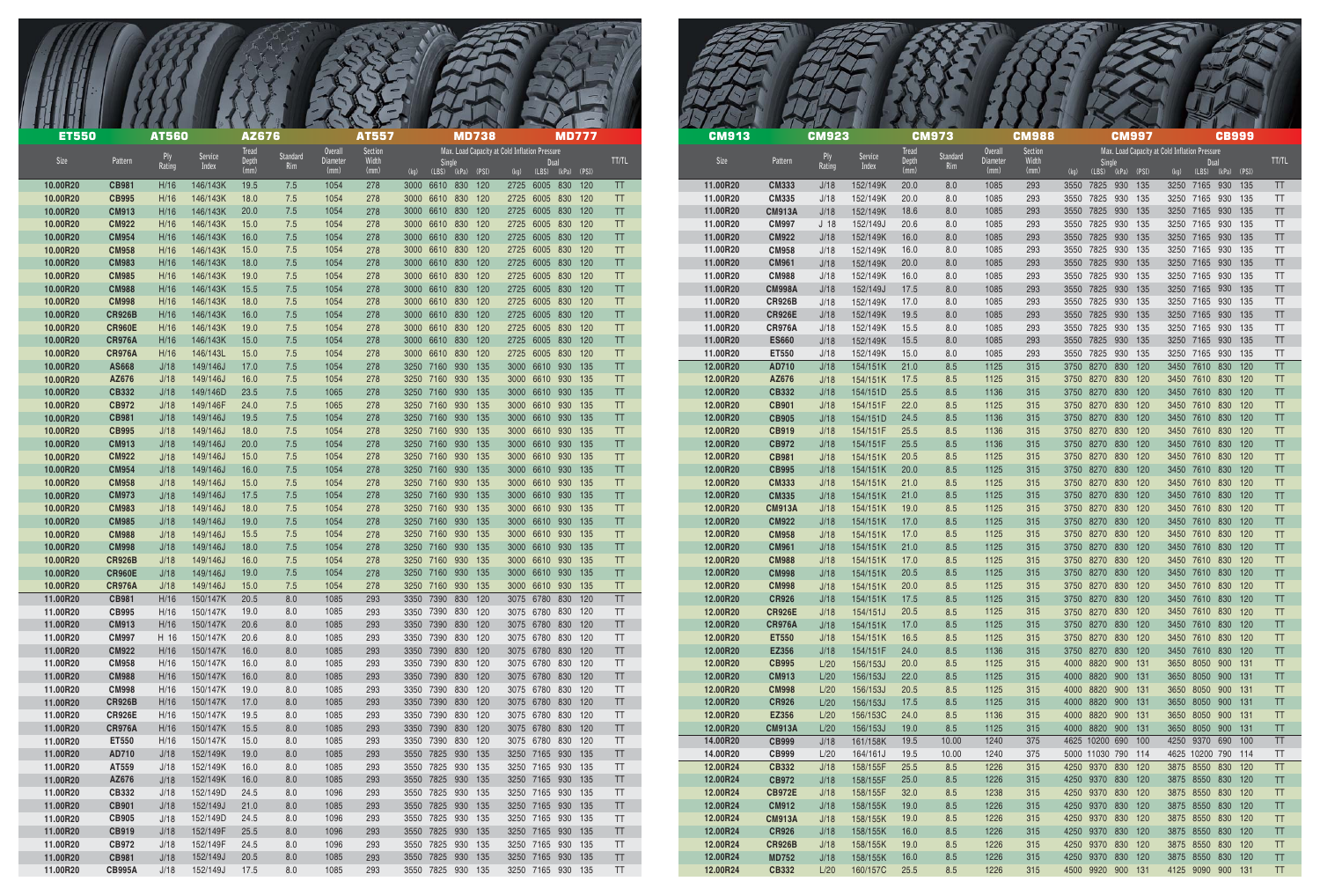| <b>ET550</b>         |                                | <b>AT560</b> |                      | AZ676                  |                 |                                    | <b>AT557</b>             | <b>MD738</b>                            | <b>MD777</b>                                                                       |                        |
|----------------------|--------------------------------|--------------|----------------------|------------------------|-----------------|------------------------------------|--------------------------|-----------------------------------------|------------------------------------------------------------------------------------|------------------------|
| Size                 | Pattern                        | Rating       | Service<br>Index     | Tread<br>Depth<br>(mm) | Standard<br>Rim | <b>Overall</b><br>Diameter<br>(mm) | Section<br>Width<br>(mm) | <b>Single</b><br>(kg) (LBS) (kPa) (PSI) | Max. Load Capacity at Cold Inflation Pressure<br>Dual<br>(LBS) (kPa) (PSI)<br>(kg) | TT/TL                  |
| 10.00R20             | <b>CB981</b>                   | H/16         | 146/143K             | 19.5                   | 7.5             | 1054                               | 278                      | 3000 6610 830 120                       | 2725 6005 830 120                                                                  | TT                     |
| 10.00R20             | <b>CB995</b>                   | H/16         | 146/143K             | 18.0                   | 7.5             | 1054                               | 278                      | 3000 6610 830 120                       | 2725 6005 830 120                                                                  | <b>TT</b>              |
| 10.00R20             | <b>CM913</b>                   | H/16         | 146/143K             | 20.0                   | 7.5             | 1054                               | 278                      | 3000 6610 830 120                       | 2725 6005 830 120                                                                  | <b>TT</b>              |
| 10.00R20<br>10.00R20 | <b>CM922</b><br><b>CM954</b>   | H/16<br>H/16 | 146/143K<br>146/143K | 15.0<br>16.0           | 7.5<br>7.5      | 1054<br>1054                       | 278<br>278               | 3000 6610 830 120<br>3000 6610 830 120  | 2725 6005 830 120<br>2725 6005 830 120                                             | <b>TT</b><br>TT.       |
| 10.00R20             | <b>CM958</b>                   | H/16         | 146/143K             | 15.0                   | 7.5             | 1054                               | 278                      | 3000 6610 830 120                       | 2725 6005 830 120                                                                  | <b>TT</b>              |
| 10.00R20             | <b>CM983</b>                   | H/16         | 146/143K             | 18.0                   | 7.5             | 1054                               | 278                      | 3000 6610 830 120                       | 2725 6005 830 120                                                                  | <b>TT</b>              |
| 10.00R20             | <b>CM985</b><br><b>CM988</b>   | H/16<br>H/16 | 146/143K<br>146/143K | 19.0                   | 7.5<br>7.5      | 1054                               | 278<br>278               | 3000 6610 830 120                       | 2725 6005 830 120                                                                  | <b>TT</b><br><b>TT</b> |
| 10.00R20<br>10.00R20 | <b>CM998</b>                   | H/16         | 146/143K             | 15.5<br>18.0           | 7.5             | 1054<br>1054                       | 278                      | 3000 6610 830 120<br>3000 6610 830 120  | 2725 6005 830 120<br>2725 6005 830 120                                             | <b>TT</b>              |
| 10.00R20             | <b>CR926B</b>                  | H/16         | 146/143K             | 16.0                   | 7.5             | 1054                               | 278                      | 3000 6610 830 120                       | 2725 6005 830 120                                                                  | <b>TT</b>              |
| 10.00R20             | <b>CR960E</b>                  | H/16         | 146/143K             | 19.0                   | 7.5             | 1054                               | 278                      | 3000 6610 830 120                       | 2725 6005 830 120                                                                  | <b>TT</b>              |
| 10.00R20<br>10.00R20 | <b>CR976A</b><br><b>CR976A</b> | H/16<br>H/16 | 146/143K<br>146/143L | 15.0<br>15.0           | 7.5<br>7.5      | 1054<br>1054                       | 278<br>278               | 3000 6610 830 120<br>3000 6610 830 120  | 2725 6005 830 120<br>2725 6005 830 120                                             | <b>TT</b><br><b>TT</b> |
| 10.00R20             | AS668                          | J/18         | 149/146J             | 17.0                   | 7.5             | 1054                               | 278                      | 3250 7160 930 135                       | 3000 6610 930 135                                                                  | <b>TT</b>              |
| 10.00R20             | AZ676                          | J/18         | 149/146J             | 16.0                   | 7.5             | 1054                               | 278                      | 3250 7160 930 135                       | 3000 6610 930 135                                                                  | <b>TT</b>              |
| 10.00R20             | CB332                          | J/18         | 149/146D             | 23.5                   | 7.5             | 1065                               | 278                      | 3250 7160 930 135                       | 3000 6610 930 135                                                                  | TT.                    |
| 10.00R20<br>10.00R20 | <b>CB972</b><br><b>CB981</b>   | J/18<br>J/18 | 149/146F<br>149/146J | 24.0<br>19.5           | 7.5<br>7.5      | 1065<br>1054                       | 278<br>278               | 3250 7160 930 135<br>3250 7160 930 135  | 3000 6610 930 135<br>3000 6610 930 135                                             | <b>TT</b><br>TT.       |
| 10.00R20             | <b>CB995</b>                   | J/18         | 149/146J             | 18.0                   | 7.5             | 1054                               | 278                      | 3250 7160 930 135                       | 3000 6610 930 135                                                                  | TT.                    |
| 10.00R20             | <b>CM913</b>                   | J/18         | 149/146J             | 20.0                   | 7.5             | 1054                               | 278                      | 3250 7160 930 135                       | 3000 6610 930 135                                                                  | TT.                    |
| 10.00R20             | <b>CM922</b>                   | J/18         | 149/146J             | 15.0                   | 7.5             | 1054                               | 278                      | 3250 7160 930 135                       | 3000 6610 930 135                                                                  | TT.                    |
| 10.00R20<br>10.00R20 | <b>CM954</b><br><b>CM958</b>   | J/18<br>J/18 | 149/146J<br>149/146J | 16.0<br>15.0           | 7.5<br>7.5      | 1054<br>1054                       | 278<br>278               | 3250 7160 930 135<br>3250 7160 930 135  | 3000 6610 930 135<br>3000 6610 930 135                                             | TT.<br><b>TT</b>       |
| 10.00R20             | <b>CM973</b>                   | J/18         | 149/146J             | 17.5                   | 7.5             | 1054                               | 278                      | 3250 7160 930 135                       | 3000 6610 930 135                                                                  | <b>TT</b>              |
| 10.00R20             | <b>CM983</b>                   | J/18         | 149/146J             | 18.0                   | 7.5             | 1054                               | 278                      | 3250 7160 930 135                       | 3000 6610 930 135                                                                  |                        |
| 10.00R20             | <b>CM985</b>                   | J/18         | 149/146J             | 19.0                   | 7.5             | 1054                               | 278                      | 3250 7160 930 135                       | 3000 6610 930 135                                                                  | <b>TT</b>              |
| 10.00R20             | <b>CM988</b>                   | J/18         | 149/146J             | 15.5                   | 7.5             | 1054                               | 278                      | 3250 7160 930 135                       | 3000 6610 930 135                                                                  | <b>TT</b>              |
| 10.00R20<br>10.00R20 | <b>CM998</b><br><b>CR926B</b>  | J/18<br>J/18 | 149/146J<br>149/146J | 18.0<br>16.0           | 7.5<br>7.5      | 1054<br>1054                       | 278<br>278               | 3250 7160 930 135<br>3250 7160 930 135  | 3000 6610 930 135<br>3000 6610 930 135                                             | TT.<br>TT.             |
| 10.00R20             | <b>CR960E</b>                  | J/18         | 149/146J             | 19.0                   | 7.5             | 1054                               | 278                      | 3250 7160 930 135                       | 3000 6610 930 135                                                                  | TT.                    |
| 10.00R20             | <b>CR976A</b>                  | J/18         | 149/146J             | 15.0                   | 7.5             | 1054                               | 278                      | 3250 7160 930 135                       | 3000 6610 930 135                                                                  | TT.                    |
| 11.00R20             | <b>CB981</b>                   | H/16         | 150/147K             | 20.5                   | 8.0             | 1085                               | 293                      | 3350 7390 830 120                       | 3075 6780 830 120                                                                  | TT                     |
| 11.00R20<br>11.00R20 | <b>CB995</b><br><b>CM913</b>   | H/16<br>H/16 | 150/147K<br>150/147K | 19.0<br>20.6           | 8.0<br>8.0      | 1085<br>1085                       | 293<br>293               | 3350 7390 830 120<br>3350 7390 830 120  | 3075 6780 830 120<br>3075 6780 830 120                                             | TT<br>TT               |
| 11.00R20             | <b>CM997</b>                   | H 16         | 150/147K             | 20.6                   | 8.0             | 1085                               | 293                      | 3350 7390 830 120                       | 3075 6780 830 120                                                                  | TT.                    |
| 11.00R20             | <b>CM922</b>                   | H/16         | 150/147K             | 16.0                   | 8.0             | 1085                               | 293                      | 3350 7390 830 120                       | 3075 6780 830 120                                                                  | TT.                    |
| 11.00R20             | <b>CM958</b>                   | H/16         | 150/147K             | 16.0                   | 8.0             | 1085                               | 293                      | 3350 7390 830 120                       | 3075 6780 830 120                                                                  | TT.                    |
| 11.00R20<br>11.00R20 | <b>CM988</b><br><b>CM998</b>   | H/16<br>H/16 | 150/147K<br>150/147K | 16.0<br>19.0           | 8.0<br>8.0      | 1085<br>1085                       | 293<br>293               | 3350 7390 830 120<br>3350 7390 830 120  | 3075 6780 830 120<br>3075 6780 830 120                                             | TT.<br>TT              |
| 11.00R20             | <b>CR926B</b>                  | H/16         | 150/147K             | 17.0                   | 8.0             | 1085                               | 293                      | 3350 7390 830 120                       | 3075 6780 830 120                                                                  | TT.                    |
| 11.00R20             | <b>CR926E</b>                  | H/16         | 150/147K             | 19.5                   | 8.0             | 1085                               | 293                      | 3350 7390 830 120                       | 3075 6780 830 120                                                                  | TT                     |
| 11.00R20             | <b>CR976A</b>                  | H/16         | 150/147K             | 15.5                   | 8.0             | 1085                               | 293                      | 3350 7390 830 120                       | 3075 6780 830 120                                                                  | TT                     |
| 11.00R20<br>11.00R20 | ET550<br>AD710                 | H/16<br>J/18 | 150/147K<br>152/149K | 15.0<br>19.0           | 8.0<br>8.0      | 1085<br>1085                       | 293<br>293               | 3350 7390 830 120<br>3550 7825 930 135  | 3075 6780 830 120<br>3250 7165 930 135                                             | TT<br>TT.              |
| 11.00R20             | AT559                          | J/18         | 152/149K             | 16.0                   | 8.0             | 1085                               | 293                      | 3550 7825 930 135                       | 3250 7165 930 135                                                                  | TT                     |
| 11.00R20             | AZ676                          | J/18         | 152/149K             | 16.0                   | 8.0             | 1085                               | 293                      | 3550 7825 930 135                       | 3250 7165 930 135                                                                  | TT.                    |
| 11.00R20             | CB332                          | J/18         | 152/149D             | 24.5                   | 8.0             | 1096                               | 293                      | 3550 7825 930 135                       | 3250 7165 930 135                                                                  | TT                     |
| 11.00R20<br>11.00R20 | <b>CB901</b><br><b>CB905</b>   | J/18<br>J/18 | 152/149J<br>152/149D | 21.0<br>24.5           | 8.0<br>8.0      | 1085<br>1096                       | 293<br>293               | 3550 7825 930 135<br>3550 7825 930 135  | 3250 7165 930 135<br>3250 7165 930 135                                             | TT<br>TT.              |
| 11.00R20             | <b>CB919</b>                   | J/18         | 152/149F             | 25.5                   | 8.0             | 1096                               | 293                      | 3550 7825 930 135                       | 3250 7165 930 135                                                                  | TT.                    |
| 11.00R20             | <b>CB972</b>                   | J/18         | 152/149F             | 24.5                   | 8.0             | 1096                               | 293                      | 3550 7825 930 135                       | 3250 7165 930 135                                                                  | TT.                    |
| 11.00R20             | <b>CB981</b>                   | J/18         | 152/149J             | 20.5                   | 8.0             | 1085                               | 293                      | 3550 7825 930 135                       | 3250 7165 930 135                                                                  | TT                     |
| 11.00R20             | <b>CB995A</b>                  | J/18         | 152/149J             | 17.5                   | 8.0             | 1085                               | 293                      | 3550 7825 930 135                       | 3250 7165 930 135                                                                  | TT                     |

| <b>CM913</b>         |                               | <b>CM923</b>    |                      | <b>Tread</b> | <b>CM973</b>    | <b>Overall</b> | <b>CM988</b><br>Section |              |                | <b>CM997</b> |            | Max. Load Capacity at Cold Inflation Pressure |                   | <b>CB999</b> |            |                        |
|----------------------|-------------------------------|-----------------|----------------------|--------------|-----------------|----------------|-------------------------|--------------|----------------|--------------|------------|-----------------------------------------------|-------------------|--------------|------------|------------------------|
| Size                 | Pattern                       | Ply<br>Rating   | Service<br>Index     | Depth        | Standard<br>Rim | Diameter       | Width                   |              | Single         |              |            |                                               | Dual              |              |            | <b>TT/TL</b>           |
|                      |                               |                 |                      | (mm)         |                 | (mm)           | (mm)                    | (kg)         | (LBS)          | (kPa)        | (PSI)      | (kg)                                          | (LBS)             | (kPa)        | (PSI)      |                        |
| 11.00R20             | <b>CM333</b>                  | J/18            | 152/149K             | 20.0         | 8.0             | 1085           | 293                     | 3550         | 7825           | 930          | 135        | 3250                                          | 7165              | 930          | 135        | <b>TT</b>              |
| 11.00R20<br>11.00R20 | <b>CM335</b><br><b>CM913A</b> | J/18<br>J/18    | 152/149K<br>152/149K | 20.0<br>18.6 | 8.0<br>8.0      | 1085<br>1085   | 293<br>293              | 3550<br>3550 | 7825<br>7825   | 930<br>930   | 135<br>135 | 3250<br>3250                                  | 7165<br>7165      | 930<br>930   | 135<br>135 | <b>TT</b><br><b>TT</b> |
| 11.00R20             | <b>CM997</b>                  | J <sub>18</sub> | 152/149J             | 20.6         | 8.0             | 1085           | 293                     | 3550         | 7825           | 930          | 135        | 3250                                          | 7165              | 930          | 135        | TT                     |
| 11.00R20             | <b>CM922</b>                  | J/18            | 152/149K             | 16.0         | 8.0             | 1085           | 293                     | 3550         | 7825           | 930          | 135        | 3250                                          | 7165              | 930          | 135        | TT                     |
| 11.00R20             | <b>CM958</b>                  | J/18            | 152/149K             | 16.0         | 8.0             | 1085           | 293                     | 3550         | 7825           | 930          | 135        | 3250                                          | 7165              | 930          | 135        | TT                     |
| 11.00R20             | <b>CM961</b>                  | J/18            | 152/149K             | 20.0         | 8.0             | 1085           | 293                     | 3550         | 7825           | 930          | 135        | 3250                                          | 7165              | 930          | 135        | <b>TT</b>              |
| 11.00R20             | <b>CM988</b>                  | J/18            | 152/149K             | 16.0         | 8.0             | 1085           | 293                     | 3550         | 7825           | 930          | 135        | 3250                                          | 7165              | 930          | 135        | TT                     |
| 11.00R20             | <b>CM998A</b>                 | J/18            | 152/149J             | 17.5         | 8.0             | 1085           | 293                     | 3550         | 7825           | 930          | 135        | 3250                                          | 7165              | 930          | 135        | TT                     |
| 11.00R20             | <b>CR926B</b>                 | J/18            | 152/149K             | 17.0         | 8.0             | 1085           | 293                     | 3550         | 7825           | 930          | 135        | 3250                                          | 7165              | 930          | 135        | TT                     |
| 11.00R20             | <b>CR926E</b>                 | J/18            | 152/149K             | 19.5         | 8.0             | 1085           | 293                     | 3550         | 7825           | 930          | 135        | 3250                                          | 7165              | 930          | 135        | TT                     |
| 11.00R20<br>11.00R20 | <b>CR976A</b>                 | J/18            | 152/149K<br>152/149K | 15.5<br>15.5 | 8.0<br>8.0      | 1085<br>1085   | 293<br>293              | 3550<br>3550 | 7825<br>7825   | 930<br>930   | 135<br>135 | 3250<br>3250                                  | 7165<br>7165      | 930<br>930   | 135<br>135 | <b>TT</b><br>TT        |
| 11.00R20             | <b>ES660</b><br>ET550         | J/18<br>J/18    | 152/149K             | 15.0         | 8.0             | 1085           | 293                     | 3550         | 7825           | 930          | 135        | 3250                                          | 7165              | 930          | 135        | TT                     |
| 12.00R20             | AD710                         | J/18            | 154/151K             | 21.0         | 8.5             | 1125           | 315                     | 3750         | 8270           | 830          | 120        | 3450                                          | 7610              | 830          | 120        | <b>TT</b>              |
| 12.00R20             | AZ676                         | J/18            | 154/151K             | 17.5         | 8.5             | 1125           | 315                     | 3750         | 8270           | 830          | 120        | 3450                                          | 7610              | 830          | 120        | <b>TT</b>              |
| 12.00R20             | <b>CB332</b>                  | J/18            | 154/151D             | 25.5         | 8.5             | 1136           | 315                     | 3750         | 8270           | 830          | 120        | 3450                                          | 7610              | 830          | 120        | <b>TT</b>              |
| 12.00R20             | <b>CB901</b>                  | J/18            | 154/151F             | 22.0         | 8.5             | 1125           | 315                     | 3750         | 8270           | 830          | 120        | 3450                                          | 7610              | 830          | 120        | <b>TT</b>              |
| 12.00R20             | <b>CB905</b>                  | J/18            | 154/151D             | 24.5         | 8.5             | 1136           | 315                     | 3750         | 8270           | 830          | 120        | 3450                                          | 7610              | 830          | 120        | <b>TT</b>              |
| 12.00R20             | <b>CB919</b>                  | J/18            | 154/151F             | 25.5         | 8.5             | 1136           | 315                     | 3750         | 8270           | 830          | 120        | 3450                                          | 7610              | 830          | 120        | <b>TT</b>              |
| 12.00R20             | <b>CB972</b>                  | J/18            | 154/151F             | 25.5         | 8.5             | 1136           | 315                     | 3750         | 8270           | 830          | 120        | 3450                                          | 7610              | 830          | 120        | <b>TT</b>              |
| 12.00R20             | <b>CB981</b>                  | J/18            | 154/151K             | 20.5         | 8.5             | 1125           | 315                     | 3750         | 8270           | 830          | 120        | 3450                                          | 7610              | 830          | 120        | TT                     |
| 12.00R20<br>12.00R20 | <b>CB995</b><br><b>CM333</b>  | J/18<br>J/18    | 154/151K<br>154/151K | 20.0<br>21.0 | 8.5<br>8.5      | 1125<br>1125   | 315<br>315              | 3750<br>3750 | 8270<br>8270   | 830<br>830   | 120<br>120 | 3450<br>3450                                  | 7610<br>7610      | 830<br>830   | 120<br>120 | TT<br>TT               |
| 12.00R20             | <b>CM335</b>                  | J/18            | 154/151K             | 21.0         | 8.5             | 1125           | 315                     | 3750         | 8270           | 830          | 120        | 3450                                          | 7610              | 830          | 120        | <b>TT</b>              |
| 12.00R20             | <b>CM913A</b>                 | J/18            | 154/151K             | 19.0         | 8.5             | 1125           | 315                     | 3750         | 8270           | 830          | 120        | 3450                                          | 7610              | 830          | 120        | TT                     |
| 12.00R20             | <b>CM922</b>                  | J/18            | 154/151K             | 17.0         | 8.5             | 1125           | 315                     | 3750         | 8270           | 830          | 120        | 3450                                          | 7610              | 830          | 120        | <b>TT</b>              |
| 12.00R20             | <b>CM958</b>                  | J/18            | 154/151K             | 17.0         | 8.5             | 1125           | 315                     | 3750         | 8270           | 830          | 120        | 3450                                          | 7610              | 830          | 120        | TT                     |
| 12.00R20             | <b>CM961</b>                  | J/18            | 154/151K             | 21.0         | 8.5             | 1125           | 315                     | 3750         | 8270           | 830          | 120        | 3450                                          | 7610              | 830          | 120        | TT                     |
| 12.00R20             | <b>CM988</b>                  | J/18            | 154/151K             | 17.0         | 8.5             | 1125           | 315                     | 3750         | 8270           | 830          | 120        |                                               | 3450 7610         | 830          | 120        | TT                     |
| 12.00R20             | <b>CM998</b>                  | J/18            | 154/151K             | 20.5         | 8.5             | 1125           | 315                     | 3750         | 8270           | 830          | 120        | 3450                                          | 7610              | 830          | 120        | TT                     |
| 12.00R20<br>12.00R20 | <b>CM998</b><br><b>CR926</b>  | J/18<br>J/18    | 154/151K<br>154/151K | 20.0<br>17.5 | 8.5<br>8.5      | 1125<br>1125   | 315<br>315              | 3750<br>3750 | 8270<br>8270   | 830<br>830   | 120<br>120 | 3450                                          | 7610<br>3450 7610 | 830<br>830   | 120<br>120 | TT<br><b>TT</b>        |
| 12.00R20             | <b>CR926E</b>                 | J/18            | 154/151J             | 20.5         | 8.5             | 1125           | 315                     | 3750         | 8270           | 830          | 120        | 3450                                          | 7610              | 830          | 120        | <b>TT</b>              |
| 12.00R20             | <b>CR976A</b>                 | J/18            | 154/151K             | 17.0         | 8.5             | 1125           | 315                     | 3750         | 8270           | 830          | 120        | 3450                                          | 7610              | 830          | 120        | <b>TT</b>              |
| 12.00R20             | <b>ET550</b>                  | J/18            | 154/151K             | 16.5         | 8.5             | 1125           | 315                     | 3750         | 8270           | 830          | 120        | 3450                                          | 7610              | 830          | 120        | <b>TT</b>              |
| 12.00R20             | <b>EZ356</b>                  | J/18            | 154/151F             | 24.0         | 8.5             | 1136           | 315                     | 3750         | 8270           | 830          | 120        | 3450                                          | 7610              | 830          | 120        | TT                     |
| 12.00R20             | <b>CB995</b>                  | L/20            | 156/153J             | 20.0         | 8.5             | 1125           | 315                     | 4000         | 8820           | 900          | 131        | 3650                                          | 8050              | 900          | 131        | <b>TT</b>              |
| 12.00R20             | <b>CM913</b>                  | L/20            | 156/153J             | 22.0         | 8.5             | 1125           | 315                     | 4000         | 8820           | 900          | 131        | 3650                                          | 8050              | 900          | 131        | TT                     |
| 12.00R20             | <b>CM998</b>                  | L/20            | 156/153J             | 20.5         | 8.5             | 1125           | 315                     | 4000         | 8820<br>8820   | 900          | 131        | 3650                                          | 8050              | 900          | 131        | TT                     |
| 12.00R20<br>12.00R20 | <b>CR926</b><br><b>EZ356</b>  | L/20<br>L/20    | 156/153J<br>156/153C | 17.5<br>24.0 | 8.5<br>8.5      | 1125<br>1136   | 315<br>315              | 4000<br>4000 | 8820           | 900<br>900   | 131<br>131 | 3650<br>3650                                  | 8050<br>8050      | 900<br>900   | 131<br>131 | TT<br>TT               |
| 12.00R20             | <b>CM913A</b>                 | L/20            | 156/153J             | 19.0         | 8.5             | 1125           | 315                     | 4000         | 8820           | 900          | 131        | 3650                                          | 8050              | 900          | 131        | TT                     |
| 14.00R20             | <b>CB999</b>                  | J/18            | 161/158K             | 19.5         | 10.00           | 1240           | 375                     |              | 4625 10200 690 |              | 100        |                                               | 4250 9370         | 690          | 100        | TT                     |
| 14.00R20             | <b>CB999</b>                  | L/20            | 164/161J             | 19.5         | 10.00           | 1240           | 375                     |              | 5000 11030 790 |              | 114        |                                               | 4625 10200 790    |              | 114        | TT                     |
| 12.00R24             | <b>CB332</b>                  | J/18            | 158/155F             | 25.5         | 8.5             | 1226           | 315                     | 4250         | 9370           | 830          | 120        |                                               | 3875 8550         | 830          | 120        | TT                     |
| 12.00R24             | <b>CB972</b>                  | J/18            | 158/155F             | 25.0         | 8.5             | 1226           | 315                     | 4250         | 9370           | 830          | 120        | 3875                                          | 8550              | 830          | 120        | TT                     |
| 12.00R24             | <b>CB972E</b>                 | J/18            | 158/155F             | 32.0         | 8.5             | 1238           | 315                     | 4250         | 9370           | 830          | 120        | 3875                                          | 8550              | 830          | 120        | TT                     |
| 12.00R24             | <b>CM912</b>                  | J/18            | 158/155K             | 19.0         | 8.5             | 1226           | 315                     | 4250         | 9370           | 830          | 120        | 3875                                          | 8550              | 830          | 120        | TT                     |
| 12.00R24<br>12.00R24 | <b>CM913A</b><br><b>CR926</b> | J/18            | 158/155K             | 19.0<br>16.0 | 8.5<br>8.5      | 1226<br>1226   | 315<br>315              | 4250<br>4250 | 9370<br>9370   | 830<br>830   | 120<br>120 | 3875<br>3875                                  | 8550<br>8550      | 830<br>830   | 120<br>120 | TT<br><b>TT</b>        |
| 12.00R24             | <b>CR926B</b>                 | J/18<br>J/18    | 158/155K<br>158/155K | 19.0         | 8.5             | 1226           | 315                     | 4250         | 9370           | 830          | 120        | 3875                                          | 8550              | 830          | 120        | <b>TT</b>              |
| 12.00R24             | <b>MD752</b>                  | J/18            | 158/155K             | 16.0         | 8.5             | 1226           | 315                     | 4250         | 9370           | 830          | 120        | 3875                                          | 8550              | 830          | 120        | <b>TT</b>              |
| 12.00R24             | <b>CB332</b>                  | L/20            | 160/157C             | 25.5         | 8.5             | 1226           | 315                     | 4500         | 9920           | 900          | 131        | 4125                                          | 9090              | 900          | 131        | <b>TT</b>              |